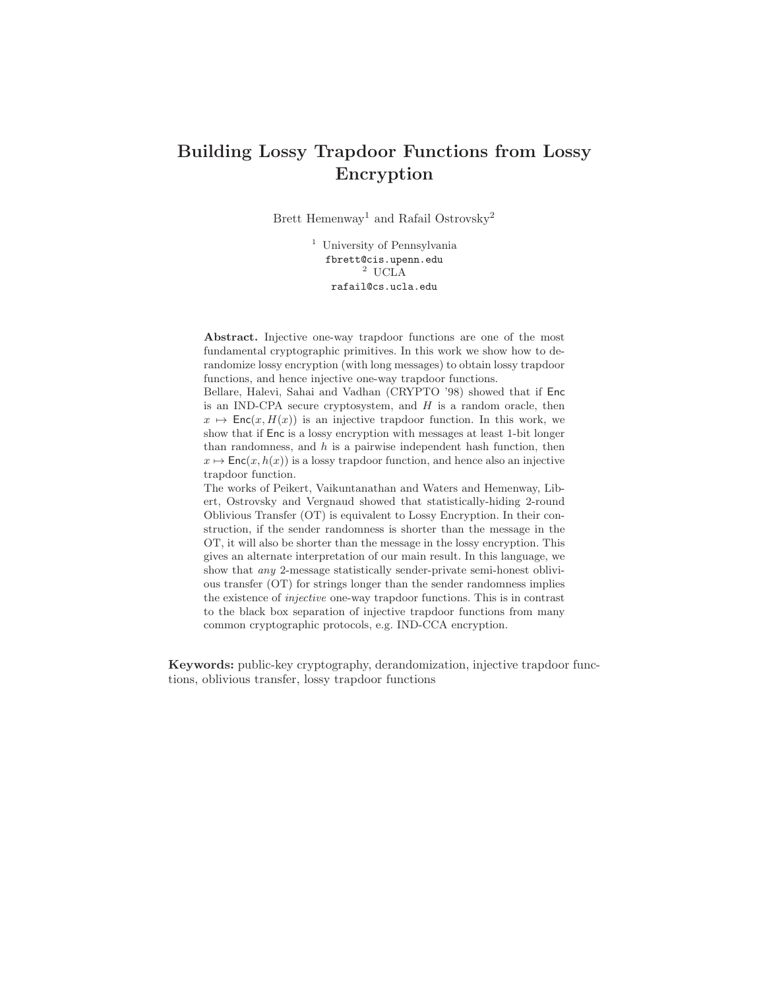# Building Lossy Trapdoor Functions from Lossy Encryption

Brett Hemenway<sup>1</sup> and Rafail Ostrovsky<sup>2</sup>

<sup>1</sup> University of Pennsylvania fbrett@cis.upenn.edu  $^2$  UCLA rafail@cs.ucla.edu

Abstract. Injective one-way trapdoor functions are one of the most fundamental cryptographic primitives. In this work we show how to derandomize lossy encryption (with long messages) to obtain lossy trapdoor functions, and hence injective one-way trapdoor functions.

Bellare, Halevi, Sahai and Vadhan (CRYPTO '98) showed that if Enc is an IND-CPA secure cryptosystem, and  $H$  is a random oracle, then  $x \mapsto \text{Enc}(x, H(x))$  is an injective trapdoor function. In this work, we show that if Enc is a lossy encryption with messages at least 1-bit longer than randomness, and  $h$  is a pairwise independent hash function, then  $x \mapsto \text{Enc}(x, h(x))$  is a lossy trapdoor function, and hence also an injective trapdoor function.

The works of Peikert, Vaikuntanathan and Waters and Hemenway, Libert, Ostrovsky and Vergnaud showed that statistically-hiding 2-round Oblivious Transfer (OT) is equivalent to Lossy Encryption. In their construction, if the sender randomness is shorter than the message in the OT, it will also be shorter than the message in the lossy encryption. This gives an alternate interpretation of our main result. In this language, we show that any 2-message statistically sender-private semi-honest oblivious transfer (OT) for strings longer than the sender randomness implies the existence of injective one-way trapdoor functions. This is in contrast to the black box separation of injective trapdoor functions from many common cryptographic protocols, e.g. IND-CCA encryption.

Keywords: public-key cryptography, derandomization, injective trapdoor functions, oblivious transfer, lossy trapdoor functions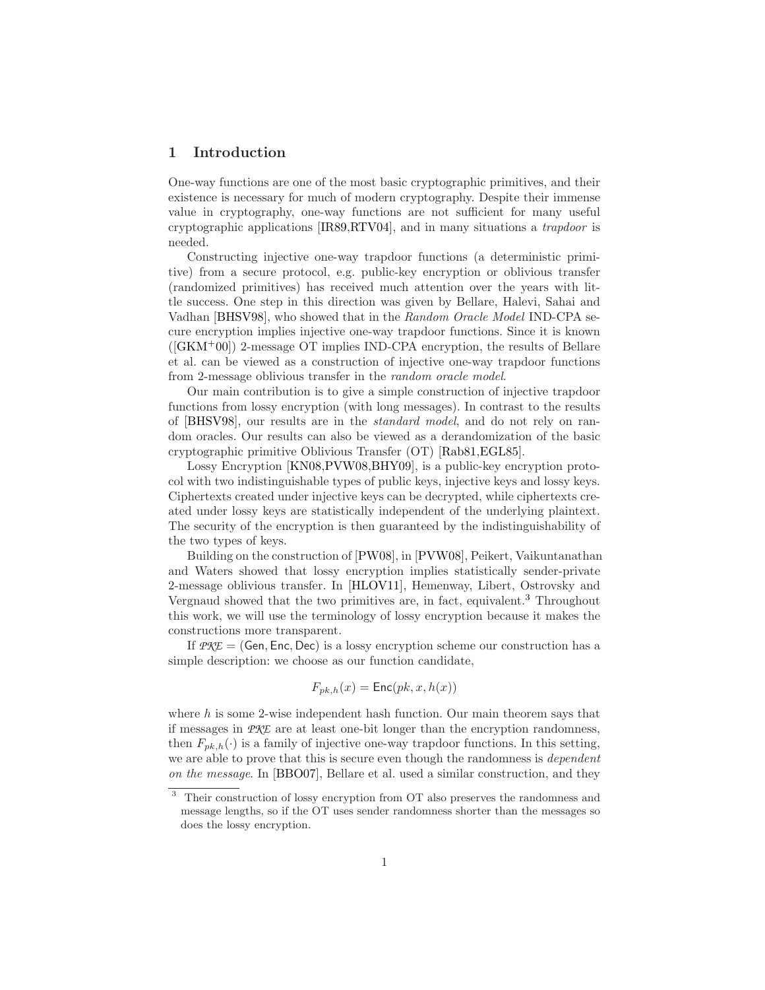# 1 Introduction

One-way functions are one of the most basic cryptographic primitives, and their existence is necessary for much of modern cryptography. Despite their immense value in cryptography, one-way functions are not sufficient for many useful cryptographic applications [\[IR89](#page-14-0)[,RTV04\]](#page-14-1), and in many situations a trapdoor is needed.

Constructing injective one-way trapdoor functions (a deterministic primitive) from a secure protocol, e.g. public-key encryption or oblivious transfer (randomized primitives) has received much attention over the years with little success. One step in this direction was given by Bellare, Halevi, Sahai and Vadhan [\[BHSV98\]](#page-13-0), who showed that in the Random Oracle Model IND-CPA secure encryption implies injective one-way trapdoor functions. Since it is known  $({\rm [GKM+00]})$  $({\rm [GKM+00]})$  $({\rm [GKM+00]})$  2-message OT implies IND-CPA encryption, the results of Bellare et al. can be viewed as a construction of injective one-way trapdoor functions from 2-message oblivious transfer in the random oracle model.

Our main contribution is to give a simple construction of injective trapdoor functions from lossy encryption (with long messages). In contrast to the results of [\[BHSV98\]](#page-13-0), our results are in the standard model, and do not rely on random oracles. Our results can also be viewed as a derandomization of the basic cryptographic primitive Oblivious Transfer (OT) [\[Rab81](#page-14-2)[,EGL85\]](#page-13-2).

Lossy Encryption [\[KN08](#page-14-3)[,PVW08,](#page-14-4)[BHY09\]](#page-13-3), is a public-key encryption protocol with two indistinguishable types of public keys, injective keys and lossy keys. Ciphertexts created under injective keys can be decrypted, while ciphertexts created under lossy keys are statistically independent of the underlying plaintext. The security of the encryption is then guaranteed by the indistinguishability of the two types of keys.

Building on the construction of [\[PW08\]](#page-14-5), in [\[PVW08\]](#page-14-4), Peikert, Vaikuntanathan and Waters showed that lossy encryption implies statistically sender-private 2-message oblivious transfer. In [\[HLOV11\]](#page-14-6), Hemenway, Libert, Ostrovsky and Vergnaud showed that the two primitives are, in fact, equivalent.[3](#page-1-0) Throughout this work, we will use the terminology of lossy encryption because it makes the constructions more transparent.

If  $PKE = (Gen, Enc, Dec)$  is a lossy encryption scheme our construction has a simple description: we choose as our function candidate,

$$
F_{pk,h}(x) = \text{Enc}(pk, x, h(x))
$$

where  $h$  is some 2-wise independent hash function. Our main theorem says that if messages in *PKE* are at least one-bit longer than the encryption randomness, then  $F_{pk,h}(\cdot)$  is a family of injective one-way trapdoor functions. In this setting, we are able to prove that this is secure even though the randomness is *dependent* on the message. In [\[BBO07\]](#page-13-4), Bellare et al. used a similar construction, and they

<span id="page-1-0"></span><sup>3</sup> Their construction of lossy encryption from OT also preserves the randomness and message lengths, so if the OT uses sender randomness shorter than the messages so does the lossy encryption.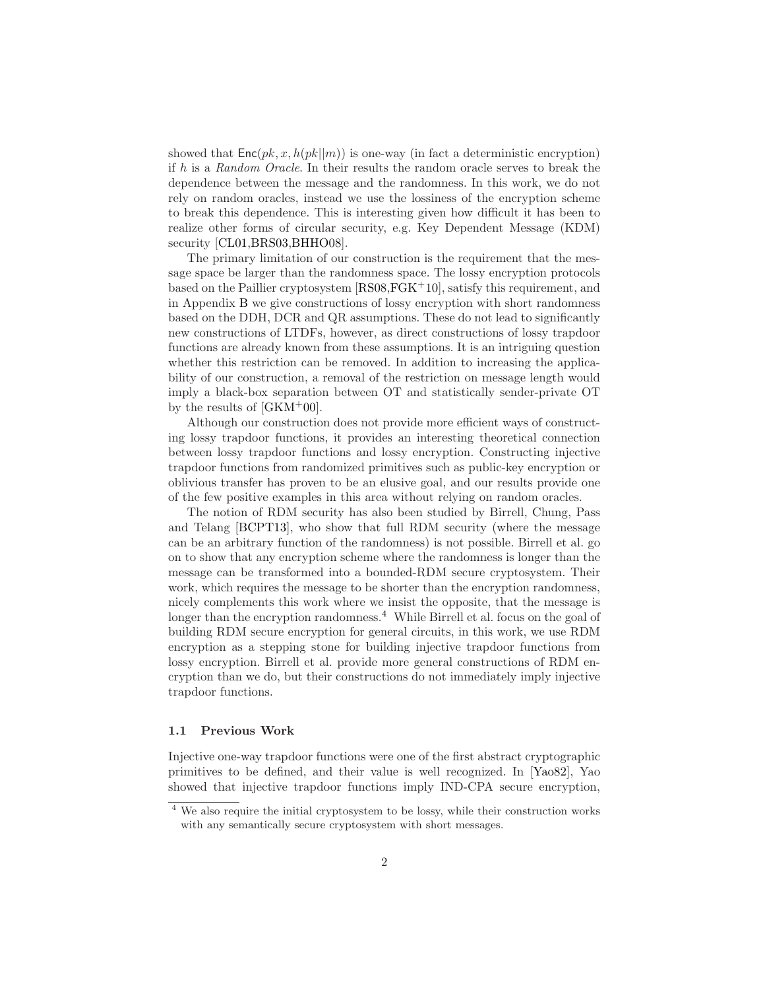showed that  $Enc(pk, x, h(pk||m))$  is one-way (in fact a deterministic encryption) if h is a Random Oracle. In their results the random oracle serves to break the dependence between the message and the randomness. In this work, we do not rely on random oracles, instead we use the lossiness of the encryption scheme to break this dependence. This is interesting given how difficult it has been to realize other forms of circular security, e.g. Key Dependent Message (KDM) security [\[CL01,](#page-13-5)[BRS03,](#page-13-6)[BHHO08\]](#page-13-7).

The primary limitation of our construction is the requirement that the message space be larger than the randomness space. The lossy encryption protocols based on the Paillier cryptosystem [\[RS08,](#page-14-7)[FGK](#page-13-8)<sup>+</sup>10], satisfy this requirement, and in Appendix [B](#page-17-0) we give constructions of lossy encryption with short randomness based on the DDH, DCR and QR assumptions. These do not lead to significantly new constructions of LTDFs, however, as direct constructions of lossy trapdoor functions are already known from these assumptions. It is an intriguing question whether this restriction can be removed. In addition to increasing the applicability of our construction, a removal of the restriction on message length would imply a black-box separation between OT and statistically sender-private OT by the results of [\[GKM](#page-13-1)<sup>+</sup>00].

Although our construction does not provide more efficient ways of constructing lossy trapdoor functions, it provides an interesting theoretical connection between lossy trapdoor functions and lossy encryption. Constructing injective trapdoor functions from randomized primitives such as public-key encryption or oblivious transfer has proven to be an elusive goal, and our results provide one of the few positive examples in this area without relying on random oracles.

The notion of RDM security has also been studied by Birrell, Chung, Pass and Telang [\[BCPT13\]](#page-13-9), who show that full RDM security (where the message can be an arbitrary function of the randomness) is not possible. Birrell et al. go on to show that any encryption scheme where the randomness is longer than the message can be transformed into a bounded-RDM secure cryptosystem. Their work, which requires the message to be shorter than the encryption randomness, nicely complements this work where we insist the opposite, that the message is longer than the encryption randomness.<sup>[4](#page-2-0)</sup> While Birrell et al. focus on the goal of building RDM secure encryption for general circuits, in this work, we use RDM encryption as a stepping stone for building injective trapdoor functions from lossy encryption. Birrell et al. provide more general constructions of RDM encryption than we do, but their constructions do not immediately imply injective trapdoor functions.

#### 1.1 Previous Work

Injective one-way trapdoor functions were one of the first abstract cryptographic primitives to be defined, and their value is well recognized. In [\[Yao82\]](#page-14-8), Yao showed that injective trapdoor functions imply IND-CPA secure encryption,

<span id="page-2-0"></span><sup>4</sup> We also require the initial cryptosystem to be lossy, while their construction works with any semantically secure cryptosystem with short messages.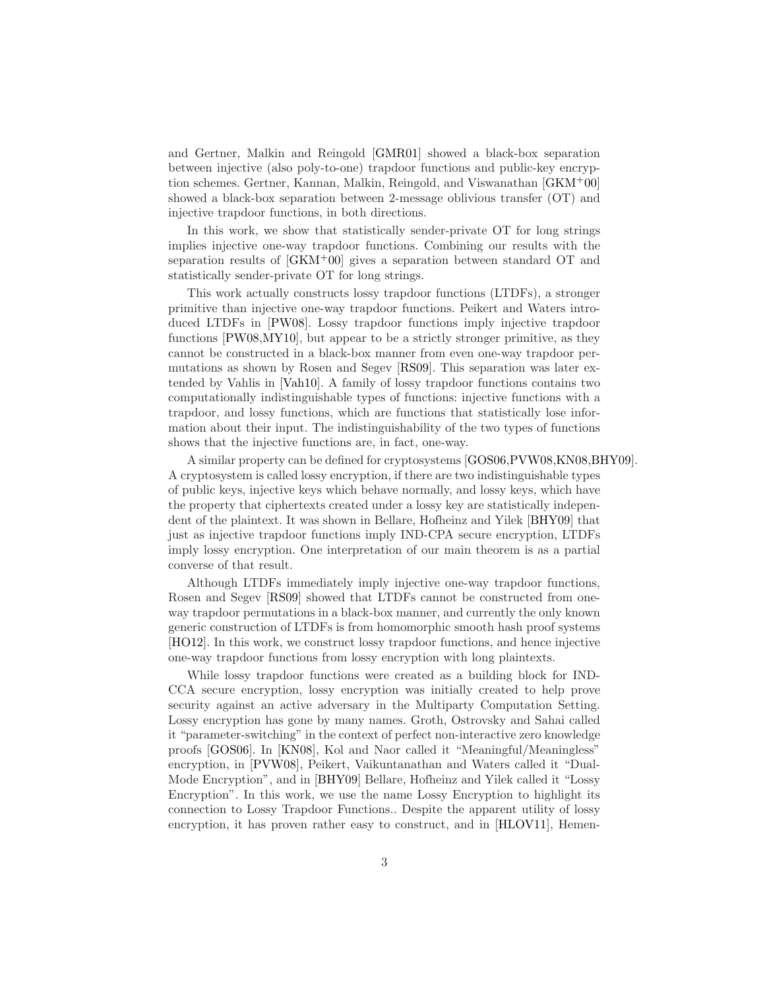and Gertner, Malkin and Reingold [\[GMR01\]](#page-13-10) showed a black-box separation between injective (also poly-to-one) trapdoor functions and public-key encryption schemes. Gertner, Kannan, Malkin, Reingold, and Viswanathan [\[GKM](#page-13-1)<sup>+</sup>00] showed a black-box separation between 2-message oblivious transfer (OT) and injective trapdoor functions, in both directions.

In this work, we show that statistically sender-private OT for long strings implies injective one-way trapdoor functions. Combining our results with the separation results of  $GKM^+00$  gives a separation between standard OT and statistically sender-private OT for long strings.

This work actually constructs lossy trapdoor functions (LTDFs), a stronger primitive than injective one-way trapdoor functions. Peikert and Waters introduced LTDFs in [\[PW08\]](#page-14-5). Lossy trapdoor functions imply injective trapdoor functions [\[PW08](#page-14-5)[,MY10\]](#page-14-9), but appear to be a strictly stronger primitive, as they cannot be constructed in a black-box manner from even one-way trapdoor permutations as shown by Rosen and Segev [\[RS09\]](#page-14-10). This separation was later extended by Vahlis in [\[Vah10\]](#page-14-11). A family of lossy trapdoor functions contains two computationally indistinguishable types of functions: injective functions with a trapdoor, and lossy functions, which are functions that statistically lose information about their input. The indistinguishability of the two types of functions shows that the injective functions are, in fact, one-way.

A similar property can be defined for cryptosystems [\[GOS06](#page-14-12)[,PVW08,](#page-14-4)[KN08](#page-14-3)[,BHY09\]](#page-13-3). A cryptosystem is called lossy encryption, if there are two indistinguishable types of public keys, injective keys which behave normally, and lossy keys, which have the property that ciphertexts created under a lossy key are statistically independent of the plaintext. It was shown in Bellare, Hofheinz and Yilek [\[BHY09\]](#page-13-3) that just as injective trapdoor functions imply IND-CPA secure encryption, LTDFs imply lossy encryption. One interpretation of our main theorem is as a partial converse of that result.

Although LTDFs immediately imply injective one-way trapdoor functions, Rosen and Segev [\[RS09\]](#page-14-10) showed that LTDFs cannot be constructed from oneway trapdoor permutations in a black-box manner, and currently the only known generic construction of LTDFs is from homomorphic smooth hash proof systems [\[HO12\]](#page-14-13). In this work, we construct lossy trapdoor functions, and hence injective one-way trapdoor functions from lossy encryption with long plaintexts.

While lossy trapdoor functions were created as a building block for IND-CCA secure encryption, lossy encryption was initially created to help prove security against an active adversary in the Multiparty Computation Setting. Lossy encryption has gone by many names. Groth, Ostrovsky and Sahai called it "parameter-switching" in the context of perfect non-interactive zero knowledge proofs [\[GOS06\]](#page-14-12). In [\[KN08\]](#page-14-3), Kol and Naor called it "Meaningful/Meaningless" encryption, in [\[PVW08\]](#page-14-4), Peikert, Vaikuntanathan and Waters called it "Dual-Mode Encryption", and in [\[BHY09\]](#page-13-3) Bellare, Hofheinz and Yilek called it "Lossy Encryption". In this work, we use the name Lossy Encryption to highlight its connection to Lossy Trapdoor Functions.. Despite the apparent utility of lossy encryption, it has proven rather easy to construct, and in [\[HLOV11\]](#page-14-6), Hemen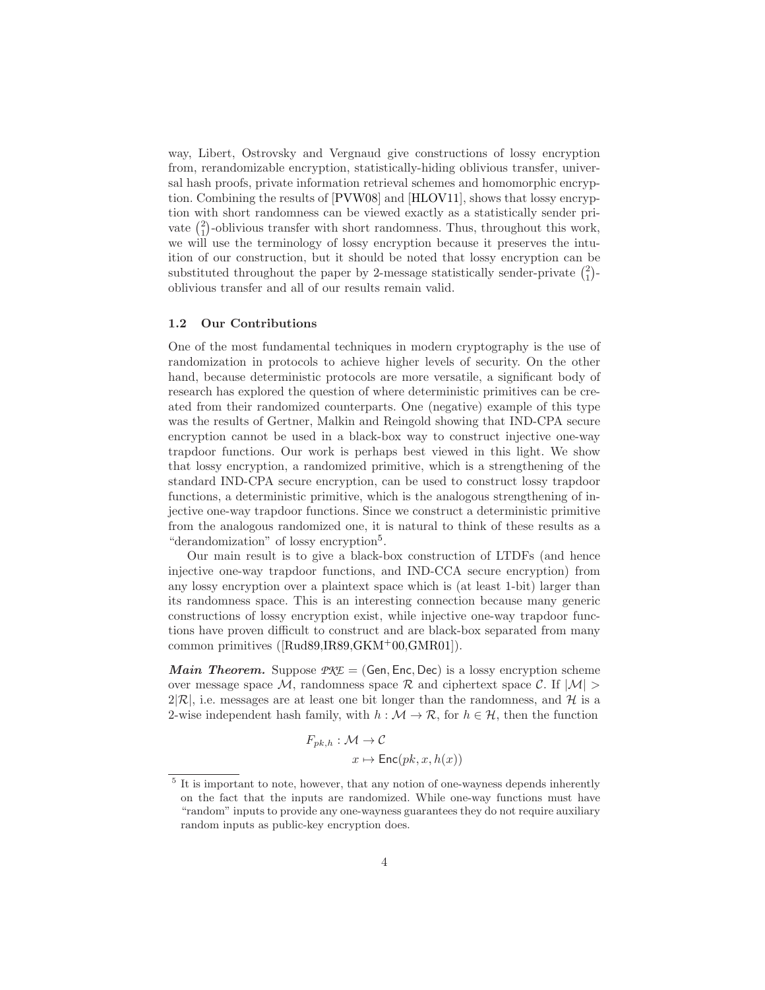way, Libert, Ostrovsky and Vergnaud give constructions of lossy encryption from, rerandomizable encryption, statistically-hiding oblivious transfer, universal hash proofs, private information retrieval schemes and homomorphic encryption. Combining the results of [\[PVW08\]](#page-14-4) and [\[HLOV11\]](#page-14-6), shows that lossy encryption with short randomness can be viewed exactly as a statistically sender private  $\binom{2}{1}$ -oblivious transfer with short randomness. Thus, throughout this work, we will use the terminology of lossy encryption because it preserves the intuition of our construction, but it should be noted that lossy encryption can be substituted throughout the paper by 2-message statistically sender-private  $\binom{2}{1}$ oblivious transfer and all of our results remain valid.

#### 1.2 Our Contributions

One of the most fundamental techniques in modern cryptography is the use of randomization in protocols to achieve higher levels of security. On the other hand, because deterministic protocols are more versatile, a significant body of research has explored the question of where deterministic primitives can be created from their randomized counterparts. One (negative) example of this type was the results of Gertner, Malkin and Reingold showing that IND-CPA secure encryption cannot be used in a black-box way to construct injective one-way trapdoor functions. Our work is perhaps best viewed in this light. We show that lossy encryption, a randomized primitive, which is a strengthening of the standard IND-CPA secure encryption, can be used to construct lossy trapdoor functions, a deterministic primitive, which is the analogous strengthening of injective one-way trapdoor functions. Since we construct a deterministic primitive from the analogous randomized one, it is natural to think of these results as a "derandomization" of lossy encryption<sup>[5](#page-4-0)</sup>.

Our main result is to give a black-box construction of LTDFs (and hence injective one-way trapdoor functions, and IND-CCA secure encryption) from any lossy encryption over a plaintext space which is (at least 1-bit) larger than its randomness space. This is an interesting connection because many generic constructions of lossy encryption exist, while injective one-way trapdoor functions have proven difficult to construct and are black-box separated from many common primitives ([\[Rud89](#page-14-14)[,IR89,](#page-14-0)[GKM](#page-13-1)<sup>+</sup>00[,GMR01\]](#page-13-10)).

*Main Theorem.* Suppose  $PKE = (Gen, Enc, Dec)$  is a lossy encryption scheme over message space M, randomness space R and ciphertext space C. If  $|M| >$  $2|\mathcal{R}|$ , i.e. messages are at least one bit longer than the randomness, and H is a 2-wise independent hash family, with  $h : \mathcal{M} \to \mathcal{R}$ , for  $h \in \mathcal{H}$ , then the function

$$
F_{pk,h} : \mathcal{M} \to \mathcal{C}
$$

$$
x \mapsto \text{Enc}(pk, x, h(x))
$$

<span id="page-4-0"></span><sup>5</sup> It is important to note, however, that any notion of one-wayness depends inherently on the fact that the inputs are randomized. While one-way functions must have "random" inputs to provide any one-wayness guarantees they do not require auxiliary random inputs as public-key encryption does.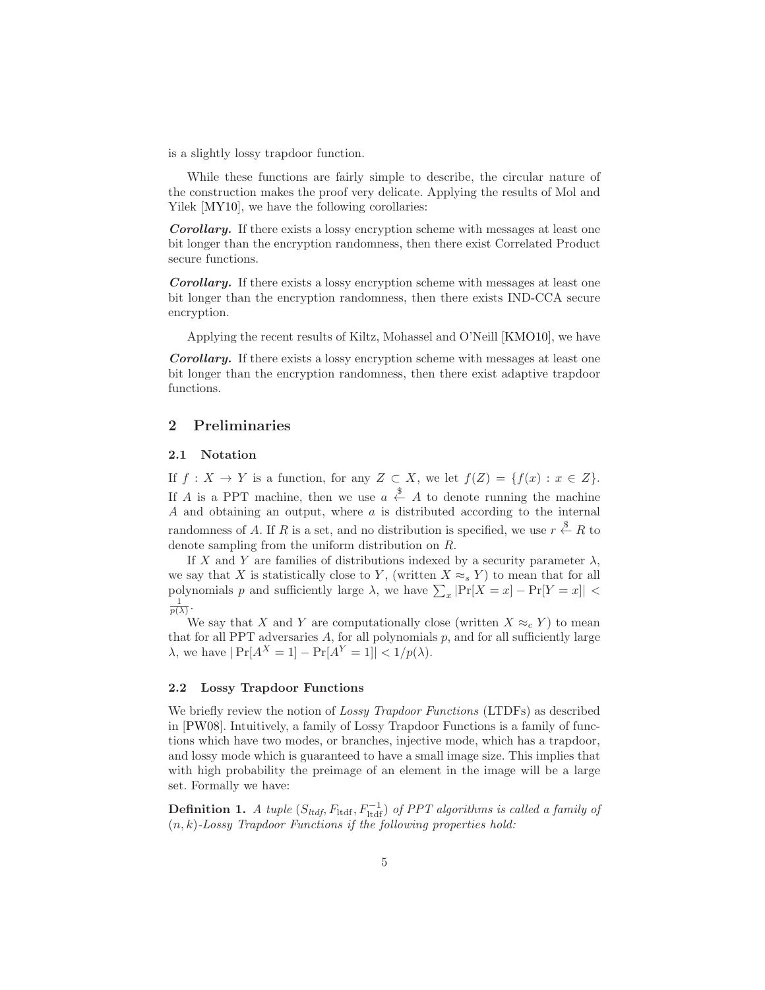is a slightly lossy trapdoor function.

While these functions are fairly simple to describe, the circular nature of the construction makes the proof very delicate. Applying the results of Mol and Yilek [\[MY10\]](#page-14-9), we have the following corollaries:

*Corollary.* If there exists a lossy encryption scheme with messages at least one bit longer than the encryption randomness, then there exist Correlated Product secure functions.

*Corollary.* If there exists a lossy encryption scheme with messages at least one bit longer than the encryption randomness, then there exists IND-CCA secure encryption.

Applying the recent results of Kiltz, Mohassel and O'Neill [\[KMO10\]](#page-14-15), we have

*Corollary.* If there exists a lossy encryption scheme with messages at least one bit longer than the encryption randomness, then there exist adaptive trapdoor functions.

# 2 Preliminaries

#### 2.1 Notation

If  $f: X \to Y$  is a function, for any  $Z \subset X$ , we let  $f(Z) = \{f(x) : x \in Z\}$ . If A is a PPT machine, then we use  $a \leftarrow A$  to denote running the machine A and obtaining an output, where  $\alpha$  is distributed according to the internal randomness of A. If R is a set, and no distribution is specified, we use  $r \stackrel{\$}{\leftarrow} R$  to denote sampling from the uniform distribution on R.

If X and Y are families of distributions indexed by a security parameter  $\lambda$ , we say that X is statistically close to Y, (written  $X \approx_s Y$ ) to mean that for all polynomials p and sufficiently large  $\lambda$ , we have  $\sum_x |\Pr[X = x] - \Pr[Y = x]|$  $\frac{1}{p(\lambda)}$ .

We say that X and Y are computationally close (written  $X \approx_c Y$ ) to mean that for all PPT adversaries  $A$ , for all polynomials  $p$ , and for all sufficiently large  $\lambda$ , we have  $|\Pr[A^X = 1] - \Pr[A^Y = 1]| < 1/p(\lambda)$ .

#### 2.2 Lossy Trapdoor Functions

We briefly review the notion of Lossy Trapdoor Functions (LTDFs) as described in [\[PW08\]](#page-14-5). Intuitively, a family of Lossy Trapdoor Functions is a family of functions which have two modes, or branches, injective mode, which has a trapdoor, and lossy mode which is guaranteed to have a small image size. This implies that with high probability the preimage of an element in the image will be a large set. Formally we have:

**Definition 1.** A tuple  $(S_{\text{ttdf}}, F_{\text{ttdf}}, F_{\text{ttdf}}^{-1})$  of PPT algorithms is called a family of  $(n, k)$ -Lossy Trapdoor Functions if the following properties hold: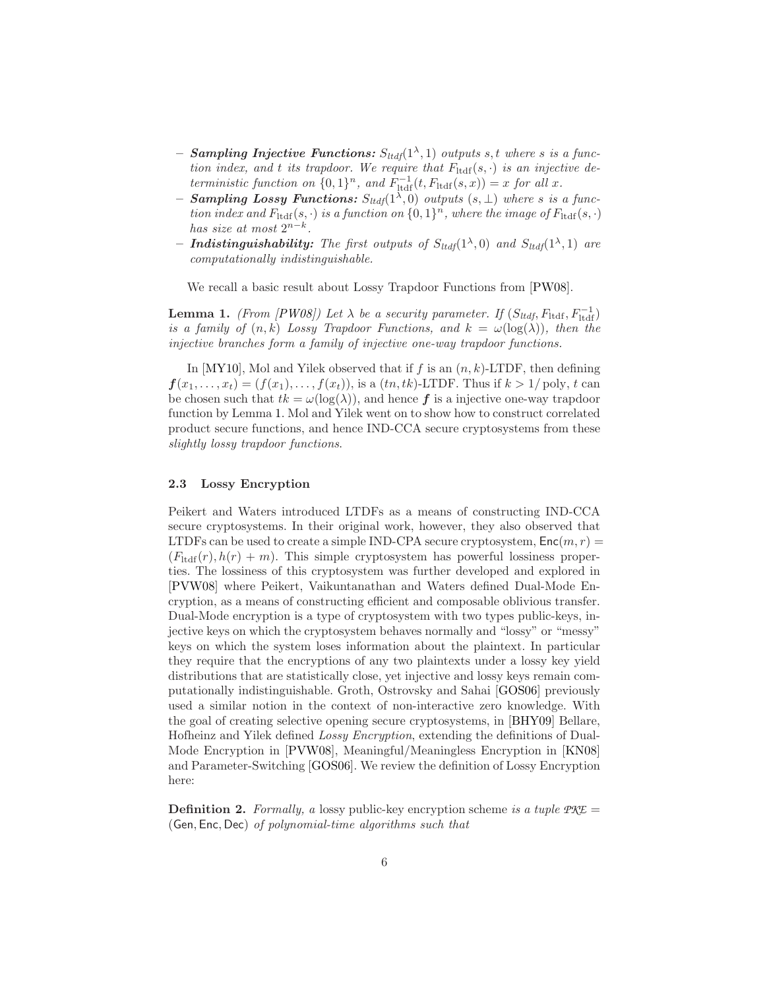- $-$  **Sampling Injective Functions:**  $S_{ltdf}(1^{\lambda}, 1)$  outputs s, t where s is a function index, and t its trapdoor. We require that  $F_{\text{ltdf}}(s, \cdot)$  is an injective deterministic function on  $\{0,1\}^n$ , and  $F_{\text{ltdf}}^{-1}(t, F_{\text{ltdf}}(s, x)) = x$  for all x.
- $-$  **Sampling Lossy Functions:**  $S_{ltdf}(1^{\lambda},0)$  outputs  $(s, \perp)$  where s is a function index and  $F_{\text{ltdf}}(s, \cdot)$  is a function on  $\{0, 1\}^n$ , where the image of  $F_{\text{ltdf}}(s, \cdot)$ has size at most  $2^{n-k}$ .
- **Indistinguishability:** The first outputs of  $S_{ltdf}(1^{\lambda},0)$  and  $S_{ltdf}(1^{\lambda},1)$  are computationally indistinguishable.

<span id="page-6-0"></span>We recall a basic result about Lossy Trapdoor Functions from [\[PW08\]](#page-14-5).

**Lemma 1.** (From [\[PW08\]](#page-14-5)) Let  $\lambda$  be a security parameter. If  $(S_{ttdf}, F_{ttdf}, F_{ttdf}^{-1})$ is a family of  $(n, k)$  Lossy Trapdoor Functions, and  $k = \omega(\log(\lambda))$ , then the injective branches form a family of injective one-way trapdoor functions.

In  $[MY10]$ , Mol and Yilek observed that if f is an  $(n, k)$ -LTDF, then defining  $f(x_1,...,x_t) = (f(x_1),...,f(x_t)),$  is a  $(tn, tk)$ -LTDF. Thus if  $k > 1$ / poly, t can be chosen such that  $tk = \omega(\log(\lambda))$ , and hence f is a injective one-way trapdoor function by Lemma [1.](#page-6-0) Mol and Yilek went on to show how to construct correlated product secure functions, and hence IND-CCA secure cryptosystems from these slightly lossy trapdoor functions.

#### 2.3 Lossy Encryption

Peikert and Waters introduced LTDFs as a means of constructing IND-CCA secure cryptosystems. In their original work, however, they also observed that LTDFs can be used to create a simple IND-CPA secure cryptosystem,  $Enc(m, r)$  $(F_{\text{tdf}}(r), h(r) + m)$ . This simple cryptosystem has powerful lossiness properties. The lossiness of this cryptosystem was further developed and explored in [\[PVW08\]](#page-14-4) where Peikert, Vaikuntanathan and Waters defined Dual-Mode Encryption, as a means of constructing efficient and composable oblivious transfer. Dual-Mode encryption is a type of cryptosystem with two types public-keys, injective keys on which the cryptosystem behaves normally and "lossy" or "messy" keys on which the system loses information about the plaintext. In particular they require that the encryptions of any two plaintexts under a lossy key yield distributions that are statistically close, yet injective and lossy keys remain computationally indistinguishable. Groth, Ostrovsky and Sahai [\[GOS06\]](#page-14-12) previously used a similar notion in the context of non-interactive zero knowledge. With the goal of creating selective opening secure cryptosystems, in [\[BHY09\]](#page-13-3) Bellare, Hofheinz and Yilek defined Lossy Encryption, extending the definitions of Dual-Mode Encryption in [\[PVW08\]](#page-14-4), Meaningful/Meaningless Encryption in [\[KN08\]](#page-14-3) and Parameter-Switching [\[GOS06\]](#page-14-12). We review the definition of Lossy Encryption here:

Definition 2. Formally, a lossy public-key encryption scheme is a tuple *PKE* = (Gen, Enc, Dec) of polynomial-time algorithms such that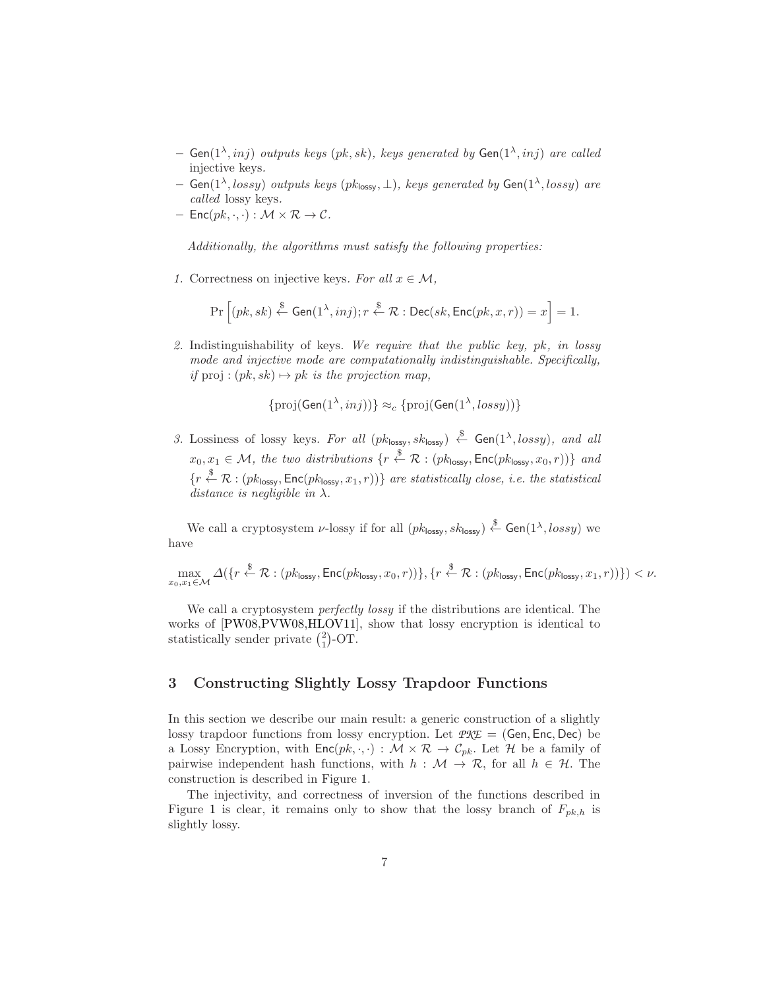- $-$  Gen $(1^{\lambda}, inj)$  outputs keys  $(pk, sk)$ , keys generated by Gen $(1^{\lambda}, inj)$  are called injective keys.
- $-$  Gen $(1^{\lambda}, lossy)$  outputs keys  $(pk_{lossy}, \perp)$ , keys generated by Gen $(1^{\lambda}, lossy)$  are called lossy keys.
- $-$  Enc $(pk, \cdot, \cdot): \mathcal{M} \times \mathcal{R} \rightarrow \mathcal{C}.$

Additionally, the algorithms must satisfy the following properties:

1. Correctness on injective keys. For all  $x \in \mathcal{M}$ ,

$$
\Pr\left[(pk, sk) \stackrel{\$}{\leftarrow} \mathsf{Gen}(1^{\lambda}, inj); r \stackrel{\$}{\leftarrow} \mathcal{R} : \mathsf{Dec}(sk, \mathsf{Enc}(pk, x, r)) = x\right] = 1.
$$

2. Indistinguishability of keys. We require that the public key,  $pk$ , in lossy mode and injective mode are computationally indistinguishable. Specifically, if  $proj : (pk, sk) \mapsto pk$  is the projection map,

$$
\{\mathrm{proj}(\mathsf{Gen}(1^{\lambda},inj))\} \approx_c \{\mathrm{proj}(\mathsf{Gen}(1^{\lambda},lossy))\}
$$

3. Lossiness of lossy keys. For all  $(pk_{\text{lossy}}, sk_{\text{lossy}}) \overset{\$}{\leftarrow} \text{Gen}(1^{\lambda}, lossy)$ , and all  $x_0, x_1 \in \mathcal{M}$ , the two distributions  $\{r \stackrel{\$}{\leftarrow} \mathcal{R} : (pk_{\text{lossy}}, \text{Enc}(pk_{\text{lossy}}, x_0, r))\}$  and  ${r \overset{\$}{\leftarrow} \mathcal{R}: (pk_{\text{lossy}}, \text{Enc}(pk_{\text{lossy}}, x_1, r))\}$  are statistically close, i.e. the statistical distance is negligible in  $\lambda$ .

We call a cryptosystem  $\nu$ -lossy if for all  $(\mathit{pk}_{\mathsf{lossy}}, \mathit{sk}_{\mathsf{lossy}}) \overset{\$}{\leftarrow} \mathsf{Gen}(1^{\lambda}, \mathit{lossy})$  we have

$$
\max_{x_0, x_1 \in \mathcal{M}} \Delta(\{r \stackrel{\$}{\leftarrow} \mathcal{R} : (pk_{\text{lossy}}, \text{Enc}(pk_{\text{lossy}}, x_0, r))\}, \{r \stackrel{\$}{\leftarrow} \mathcal{R} : (pk_{\text{lossy}}, \text{Enc}(pk_{\text{lossy}}, x_1, r))\}) < \nu.
$$

We call a cryptosystem perfectly lossy if the distributions are identical. The works of [\[PW08](#page-14-5)[,PVW08,](#page-14-4)[HLOV11\]](#page-14-6), show that lossy encryption is identical to statistically sender private  $\binom{2}{1}$ -OT.

# 3 Constructing Slightly Lossy Trapdoor Functions

In this section we describe our main result: a generic construction of a slightly lossy trapdoor functions from lossy encryption. Let  $PKE = (Gen, Enc, Dec)$  be a Lossy Encryption, with  $\mathsf{Enc}(pk, \cdot, \cdot) : \mathcal{M} \times \mathcal{R} \to \mathcal{C}_{pk}$ . Let  $\mathcal{H}$  be a family of pairwise independent hash functions, with  $h : \mathcal{M} \to \mathcal{R}$ , for all  $h \in \mathcal{H}$ . The construction is described in Figure [1.](#page-8-0)

The injectivity, and correctness of inversion of the functions described in Figure [1](#page-8-0) is clear, it remains only to show that the lossy branch of  $F_{pk,h}$  is slightly lossy.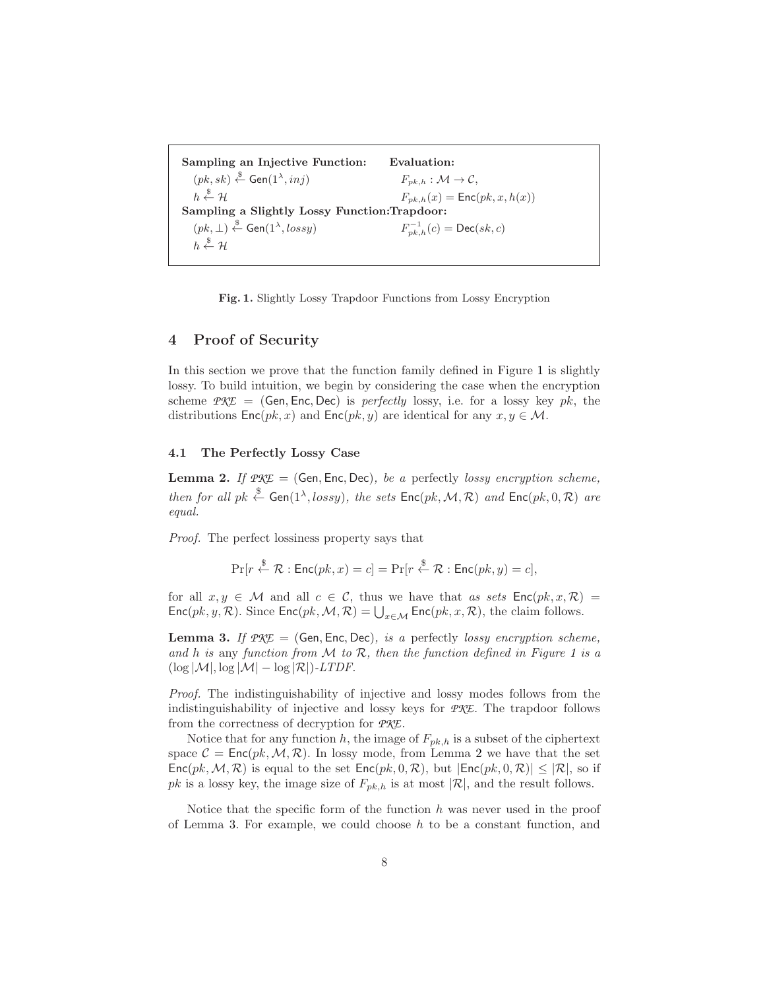Sampling an Injective Function: Evaluation:  $(pk, sk) \overset{\$}{\leftarrow}$  Gen $(1^{\lambda})$  $F_{pk,h} : \mathcal{M} \to \mathcal{C},$  $h \overset{\$}{\leftarrow} \mathcal{H}$  $F_{pk,h}(x) = \text{Enc}(pk, x, h(x))$ Sampling a Slightly Lossy Function: Trapdoor:  $(pk, \perp) \stackrel{\$}{\leftarrow}$  Gen $(1^{\lambda}, lossy)$  F  $p_{k,h}^{n-1}(c) = \mathsf{Dec}(sk,c)$  $h \overset{\$}{\leftarrow} \mathcal{H}$ 

<span id="page-8-0"></span>Fig. 1. Slightly Lossy Trapdoor Functions from Lossy Encryption

# 4 Proof of Security

In this section we prove that the function family defined in Figure [1](#page-8-0) is slightly lossy. To build intuition, we begin by considering the case when the encryption scheme  $PKE = (Gen, Enc, Dec)$  is *perfectly* lossy, i.e. for a lossy key pk, the distributions  $Enc(pk, x)$  and  $Enc(pk, y)$  are identical for any  $x, y \in M$ .

#### <span id="page-8-3"></span><span id="page-8-1"></span>4.1 The Perfectly Lossy Case

**Lemma 2.** If  $PKE = (Gen, Enc, Dec)$ , be a perfectly lossy encryption scheme, then for all  $pk \stackrel{\$}{\leftarrow} \mathsf{Gen}(1^{\lambda}, lossy)$ , the sets  $\mathsf{Enc}(pk, \mathcal{M}, \mathcal{R})$  and  $\mathsf{Enc}(pk, 0, \mathcal{R})$  are equal.

Proof. The perfect lossiness property says that

 $\Pr[r \stackrel{\$}{\leftarrow} \mathcal{R} : \mathsf{Enc}(pk, x) = c] = \Pr[r \stackrel{\$}{\leftarrow} \mathcal{R} : \mathsf{Enc}(pk, y) = c],$ 

for all  $x, y \in \mathcal{M}$  and all  $c \in \mathcal{C}$ , thus we have that as sets  $\mathsf{Enc}(pk, x, \mathcal{R}) =$  $Enc(pk, y, \mathcal{R})$ . Since  $Enc(pk, \mathcal{M}, \mathcal{R}) = \bigcup_{x \in \mathcal{M}} Enc(pk, x, \mathcal{R})$ , the claim follows.

<span id="page-8-2"></span>**Lemma 3.** If  $PKE = (Gen, Enc, Dec)$ , is a perfectly lossy encryption scheme, and h is any function from  $M$  to  $\mathcal{R}$ , then the function defined in Figure [1](#page-8-0) is a  $(\log |\mathcal{M}|, \log |\mathcal{M}| - \log |\mathcal{R}|)$ -LTDF.

Proof. The indistinguishability of injective and lossy modes follows from the indistinguishability of injective and lossy keys for *PKE*. The trapdoor follows from the correctness of decryption for *PKE*.

Notice that for any function h, the image of  $F_{pk,h}$  is a subset of the ciphertext space  $\mathcal{C} = \mathsf{Enc}(pk, \mathcal{M}, \mathcal{R})$ . In lossy mode, from Lemma [2](#page-8-1) we have that the set  $Enc(pk, M, R)$  is equal to the set  $Enc(pk, 0, R)$ , but  $|Enc(pk, 0, R)| \leq |R|$ , so if pk is a lossy key, the image size of  $F_{pk,h}$  is at most  $|\mathcal{R}|$ , and the result follows.

Notice that the specific form of the function  $h$  was never used in the proof of Lemma [3.](#page-8-2) For example, we could choose  $h$  to be a constant function, and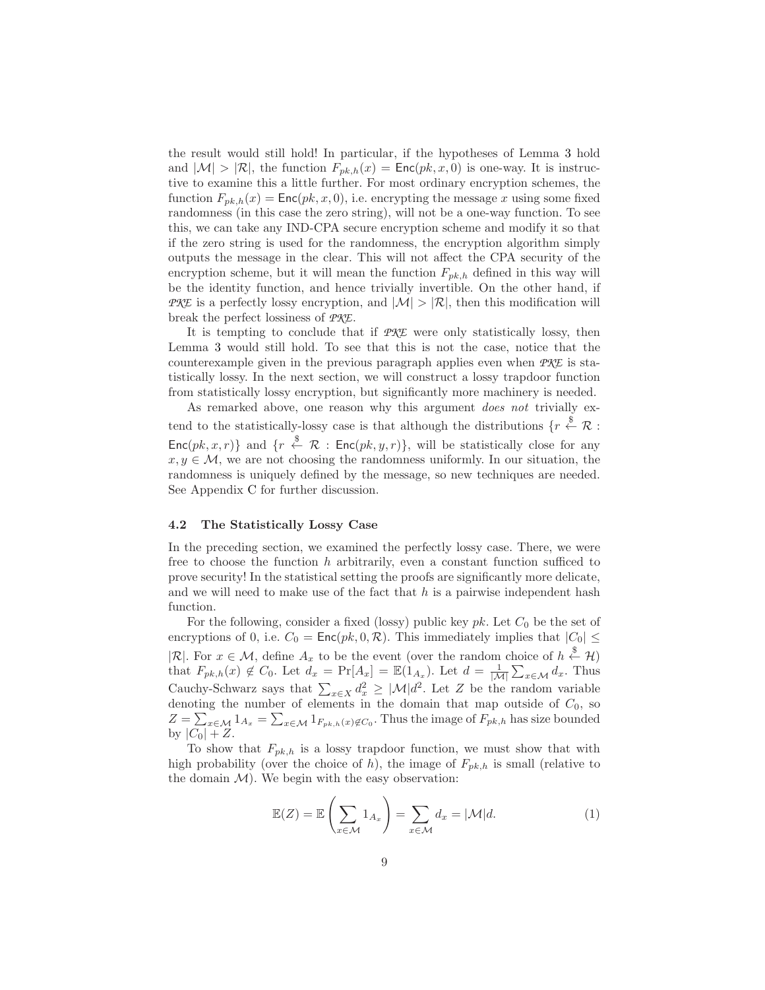the result would still hold! In particular, if the hypotheses of Lemma [3](#page-8-2) hold and  $|M| > |\mathcal{R}|$ , the function  $F_{pk,h}(x) = \text{Enc}(pk, x, 0)$  is one-way. It is instructive to examine this a little further. For most ordinary encryption schemes, the function  $F_{pk,h}(x) = \text{Enc}(pk, x, 0)$ , i.e. encrypting the message x using some fixed randomness (in this case the zero string), will not be a one-way function. To see this, we can take any IND-CPA secure encryption scheme and modify it so that if the zero string is used for the randomness, the encryption algorithm simply outputs the message in the clear. This will not affect the CPA security of the encryption scheme, but it will mean the function  $F_{pk,h}$  defined in this way will be the identity function, and hence trivially invertible. On the other hand, if *PKE* is a perfectly lossy encryption, and  $|M| > |R|$ , then this modification will break the perfect lossiness of *PKE*.

It is tempting to conclude that if *PKE* were only statistically lossy, then Lemma [3](#page-8-2) would still hold. To see that this is not the case, notice that the counterexample given in the previous paragraph applies even when *PKE* is statistically lossy. In the next section, we will construct a lossy trapdoor function from statistically lossy encryption, but significantly more machinery is needed.

As remarked above, one reason why this argument *does not* trivially extend to the statistically-lossy case is that although the distributions  $\{r \stackrel{\$}{\leftarrow} \mathcal{R}$ :  $\textsf{Enc}(pk, x, r)$  and  $\{r \stackrel{\$}{\leftarrow} \mathcal{R} : \textsf{Enc}(pk, y, r)\},$  will be statistically close for any  $x, y \in \mathcal{M}$ , we are not choosing the randomness uniformly. In our situation, the randomness is uniquely defined by the message, so new techniques are needed. See Appendix [C](#page-19-0) for further discussion.

#### 4.2 The Statistically Lossy Case

In the preceding section, we examined the perfectly lossy case. There, we were free to choose the function  $h$  arbitrarily, even a constant function sufficed to prove security! In the statistical setting the proofs are significantly more delicate, and we will need to make use of the fact that  $h$  is a pairwise independent hash function.

For the following, consider a fixed (lossy) public key  $pk$ . Let  $C_0$  be the set of encryptions of 0, i.e.  $C_0 = \text{Enc}(pk, 0, \mathcal{R})$ . This immediately implies that  $|C_0| \leq$  $|\mathcal{R}|$ . For  $x \in \mathcal{M}$ , define  $A_x$  to be the event (over the random choice of  $h \stackrel{\$}{\leftarrow} \mathcal{H}$ ) that  $F_{pk,h}(x) \notin C_0$ . Let  $d_x = \Pr[A_x] = \mathbb{E}(1_{A_x})$ . Let  $d = \frac{1}{|\mathcal{M}|} \sum_{x \in \mathcal{M}} d_x$ . Thus Cauchy-Schwarz says that  $\sum_{x \in X} d_x^2 \geq |\mathcal{M}| d^2$ . Let Z be the random variable denoting the number of elements in the domain that map outside of  $C_0$ , so  $Z = \sum_{x \in \mathcal{M}} 1_{A_x} = \sum_{x \in \mathcal{M}} 1_{F_{pk,h}(x) \notin C_0}$ . Thus the image of  $F_{pk,h}$  has size bounded by  $|C_0| + Z$ .

To show that  $F_{pk,h}$  is a lossy trapdoor function, we must show that with high probability (over the choice of h), the image of  $F_{pk,h}$  is small (relative to the domain  $M$ ). We begin with the easy observation:

$$
\mathbb{E}(Z) = \mathbb{E}\left(\sum_{x \in \mathcal{M}} 1_{A_x}\right) = \sum_{x \in \mathcal{M}} d_x = |\mathcal{M}|d. \tag{1}
$$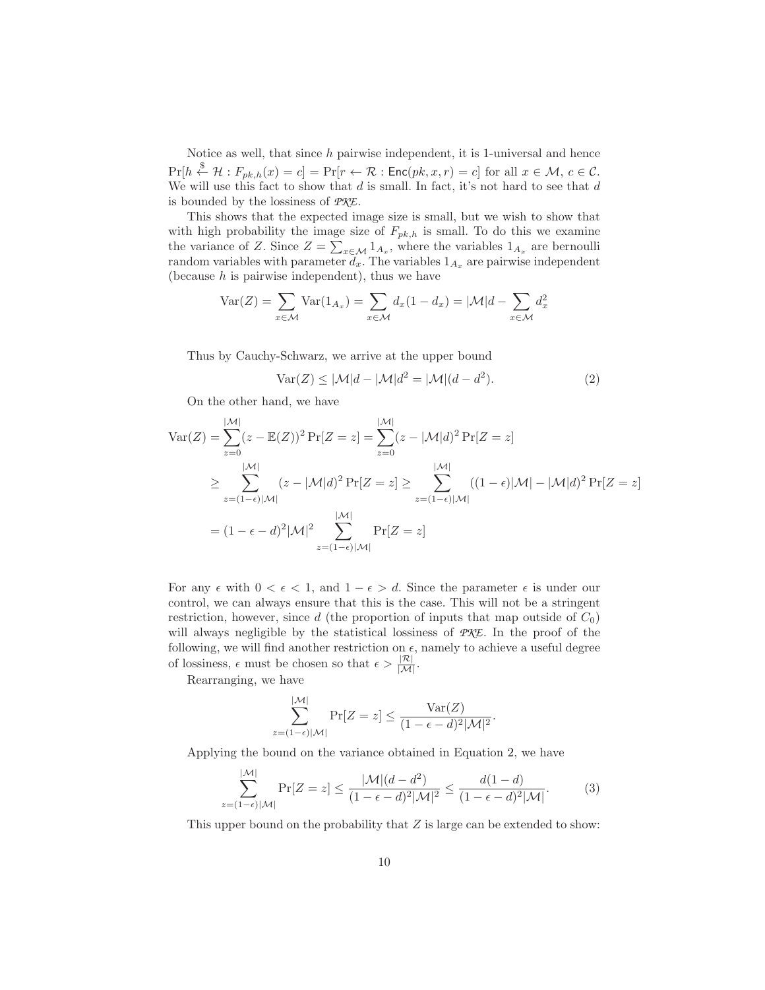Notice as well, that since  $h$  pairwise independent, it is 1-universal and hence  $\Pr[h \stackrel{\$}{\leftarrow} \mathcal{H}: F_{pk,h}(x) = c] = \Pr[r \leftarrow \mathcal{R}: \mathsf{Enc}(pk, x, r) = c] \text{ for all } x \in \mathcal{M}, c \in \mathcal{C}.$ We will use this fact to show that  $d$  is small. In fact, it's not hard to see that  $d$ is bounded by the lossiness of *PKE*.

This shows that the expected image size is small, but we wish to show that with high probability the image size of  $F_{pk,h}$  is small. To do this we examine the variance of Z. Since  $Z = \sum_{x \in \mathcal{M}} 1_{A_x}$ , where the variables  $1_{A_x}$  are bernoulli random variables with parameter  $d_x$ . The variables  $1_{A_x}$  are pairwise independent (because  $h$  is pairwise independent), thus we have

$$
Var(Z) = \sum_{x \in \mathcal{M}} Var(1_{A_x}) = \sum_{x \in \mathcal{M}} d_x (1 - d_x) = |\mathcal{M}| d - \sum_{x \in \mathcal{M}} d_x^2
$$

Thus by Cauchy-Schwarz, we arrive at the upper bound

<span id="page-10-0"></span>
$$
Var(Z) \le |\mathcal{M}|d - |\mathcal{M}|d^2 = |\mathcal{M}|(d - d^2). \tag{2}
$$

On the other hand, we have

$$
\operatorname{Var}(Z) = \sum_{z=0}^{|M|} (z - \mathbb{E}(Z))^2 \operatorname{Pr}[Z = z] = \sum_{z=0}^{|M|} (z - |M|d)^2 \operatorname{Pr}[Z = z]
$$
  
\n
$$
\geq \sum_{z=(1-\epsilon)|M|}^{|M|} (z - |M|d)^2 \operatorname{Pr}[Z = z] \geq \sum_{z=(1-\epsilon)|M|}^{|M|} ((1-\epsilon)|M| - |M|d)^2 \operatorname{Pr}[Z = z]
$$
  
\n
$$
= (1 - \epsilon - d)^2 |M|^2 \sum_{z=(1-\epsilon)|M|}^{|M|} \operatorname{Pr}[Z = z]
$$

For any  $\epsilon$  with  $0 < \epsilon < 1$ , and  $1 - \epsilon > d$ . Since the parameter  $\epsilon$  is under our control, we can always ensure that this is the case. This will not be a stringent restriction, however, since d (the proportion of inputs that map outside of  $C_0$ ) will always negligible by the statistical lossiness of *PKE*. In the proof of the following, we will find another restriction on  $\epsilon$ , namely to achieve a useful degree of lossiness,  $\epsilon$  must be chosen so that  $\epsilon > \frac{|\mathcal{R}|}{|\mathcal{M}|}$ .

Rearranging, we have

$$
\sum_{z=(1-\epsilon)|\mathcal{M}|}^{|\mathcal{M}|} \Pr[Z=z] \le \frac{\text{Var}(Z)}{(1-\epsilon-d)^2|\mathcal{M}|^2}.
$$

Applying the bound on the variance obtained in Equation [2,](#page-10-0) we have

<span id="page-10-1"></span>
$$
\sum_{z=(1-\epsilon)|\mathcal{M}|}^{|\mathcal{M}|} \Pr[Z=z] \le \frac{|\mathcal{M}|(d-d^2)}{(1-\epsilon-d)^2|\mathcal{M}|^2} \le \frac{d(1-d)}{(1-\epsilon-d)^2|\mathcal{M}|}. \tag{3}
$$

<span id="page-10-2"></span>This upper bound on the probability that  $Z$  is large can be extended to show: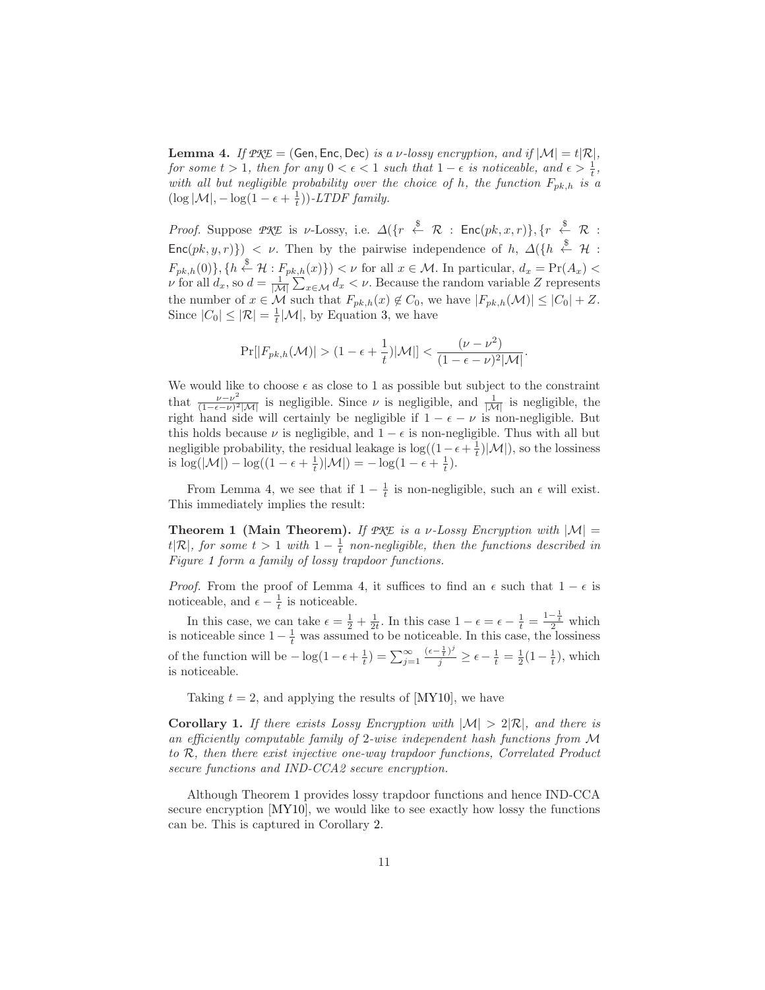**Lemma 4.** If  $P \mathcal{R}E = (Gen, Enc, Dec)$  is a *ν*-lossy encryption, and if  $|\mathcal{M}| = t|\mathcal{R}|$ , for some  $t > 1$ , then for any  $0 < \epsilon < 1$  such that  $1 - \epsilon$  is noticeable, and  $\epsilon > \frac{1}{t}$ , with all but negligible probability over the choice of h, the function  $F_{pk,h}$  is a  $(\log |\mathcal{M}|, -\log(1-\epsilon+\frac{1}{t}))$ -LTDF family.

*Proof.* Suppose  $P \mathcal{R} \mathcal{I}$  is *v*-Lossy, i.e.  $\Delta(\lbrace r \stackrel{\$}{\leftarrow} \mathcal{R} \text{ : Enc}(pk, x, r) \rbrace, \lbrace r \stackrel{\$}{\leftarrow} \mathcal{R} \text{ :}$  $\textsf{Enc}(pk, y, r)$ ) < v. Then by the pairwise independence of h,  $\Delta({h \leftrightarrow H : R})$  $\{F_{pk,h}(0)\}\$ ,  $\{h \stackrel{\$}{\leftarrow} \mathcal{H} : F_{pk,h}(x)\}\) < \nu$  for all  $x \in \mathcal{M}$ . In particular,  $d_x = \Pr(A_x) < \nu$ v for all  $d_x$ , so  $d = \frac{1}{|M|} \sum_{x \in M} d_x < \nu$ . Because the random variable Z represents the number of  $x \in \mathcal{M}$  such that  $F_{pk,h}(x) \notin C_0$ , we have  $|F_{pk,h}(\mathcal{M})| \leq |C_0| + Z$ . Since  $|C_0| \leq |\mathcal{R}| = \frac{1}{t} |\mathcal{M}|$ , by Equation [3,](#page-10-1) we have

$$
\Pr[|F_{pk,h}(\mathcal{M})| > (1 - \epsilon + \frac{1}{t})|\mathcal{M}|] < \frac{(\nu - \nu^2)}{(1 - \epsilon - \nu)^2|\mathcal{M}|}.
$$

We would like to choose  $\epsilon$  as close to 1 as possible but subject to the constraint that  $\frac{\nu-\nu^2}{(1-\epsilon-\nu)^2}$  $\frac{\nu-\nu^2}{(1-\epsilon-\nu)^2|\mathcal{M}|}$  is negligible. Since  $\nu$  is negligible, and  $\frac{1}{|\mathcal{M}|}$  is negligible, the right hand side will certainly be negligible if  $1 - \epsilon - \nu$  is non-negligible. But this holds because  $\nu$  is negligible, and  $1 - \epsilon$  is non-negligible. Thus with all but negligible probability, the residual leakage is  $\log((1-\epsilon+\frac{1}{t})|\mathcal{M}|)$ , so the lossiness is  $\log(|\mathcal{M}|) - \log((1 - \epsilon + \frac{1}{t})|\mathcal{M}|) = -\log(1 - \epsilon + \frac{1}{t}).$ 

<span id="page-11-0"></span>From Lemma [4,](#page-10-2) we see that if  $1 - \frac{1}{t}$  is non-negligible, such an  $\epsilon$  will exist. This immediately implies the result:

**Theorem 1 (Main Theorem).** If  $PKE$  is a v-Lossy Encryption with  $|M|$  = t|R|, for some  $t > 1$  with  $1 - \frac{1}{t}$  non-negligible, then the functions described in Figure [1](#page-8-0) form a family of lossy trapdoor functions.

*Proof.* From the proof of Lemma [4,](#page-10-2) it suffices to find an  $\epsilon$  such that  $1 - \epsilon$  is noticeable, and  $\epsilon - \frac{1}{t}$  is noticeable.

In this case, we can take  $\epsilon = \frac{1}{2} + \frac{1}{2t}$ . In this case  $1 - \epsilon = \epsilon - \frac{1}{t} = \frac{1 - \frac{1}{t}}{2}$  which is noticeable since  $1-\frac{1}{t}$  was assumed to be noticeable. In this case, the lossiness of the function will be  $-\log(1 - \epsilon + \frac{1}{t}) = \sum_{j=1}^{\infty}$  $\frac{(\epsilon - \frac{1}{t})^j}{j} \ge \epsilon - \frac{1}{t} = \frac{1}{2}(1 - \frac{1}{t}),$  which is noticeable.

Taking  $t = 2$ , and applying the results of [\[MY10\]](#page-14-9), we have

**Corollary 1.** If there exists Lossy Encryption with  $|M| > 2|R|$ , and there is an efficiently computable family of 2-wise independent hash functions from M to R, then there exist injective one-way trapdoor functions, Correlated Product secure functions and IND-CCA2 secure encryption.

<span id="page-11-1"></span>Although Theorem [1](#page-11-0) provides lossy trapdoor functions and hence IND-CCA secure encryption [\[MY10\]](#page-14-9), we would like to see exactly how lossy the functions can be. This is captured in Corollary [2.](#page-11-1)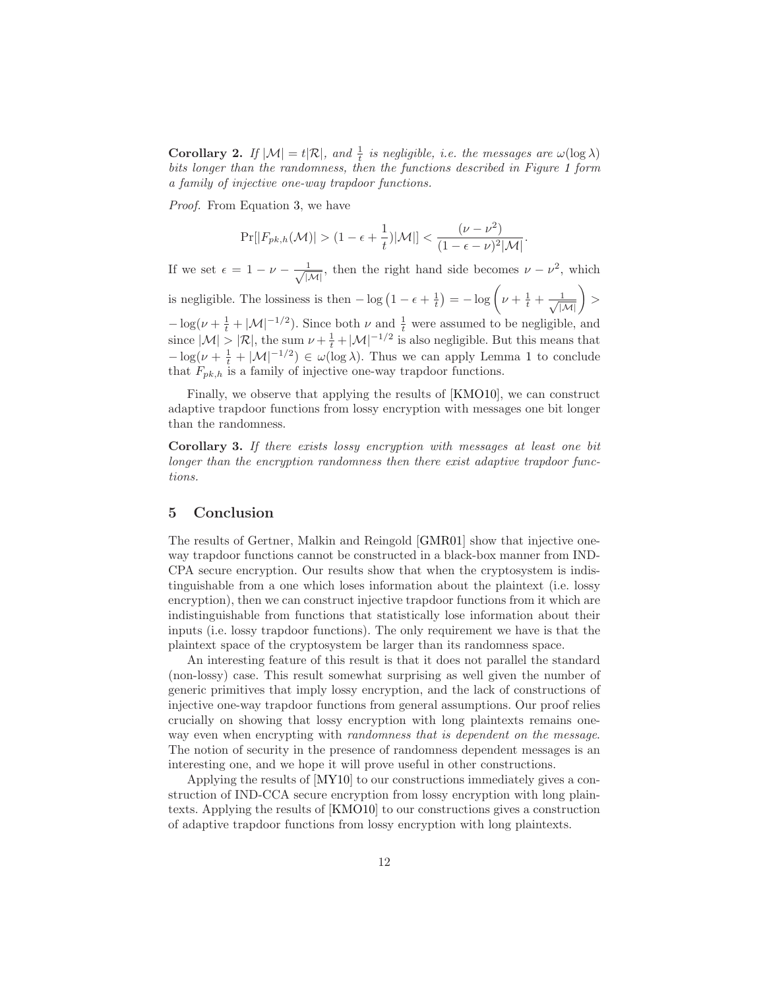**Corollary 2.** If  $|M| = t|R|$ , and  $\frac{1}{t}$  is negligible, i.e. the messages are  $\omega(\log \lambda)$ bits longer than the randomness, then the functions described in Figure [1](#page-8-0) form a family of injective one-way trapdoor functions.

Proof. From Equation [3,](#page-10-1) we have

$$
\Pr[|F_{pk,h}(\mathcal{M})| > (1 - \epsilon + \frac{1}{t})|\mathcal{M}|] < \frac{(\nu - \nu^2)}{(1 - \epsilon - \nu)^2|\mathcal{M}|}.
$$

If we set  $\epsilon = 1 - \nu - \frac{1}{\sqrt{2}}$  $\frac{1}{|\mathcal{M}|}$ , then the right hand side becomes  $\nu - \nu^2$ , which is negligible. The lossiness is then  $-\log(1-\epsilon+\frac{1}{t}) = -\log\left(\nu+\frac{1}{t}+\frac{1}{\sqrt{|\mathcal{M}|}}\right) >$  $-\log(\nu+\frac{1}{t}+|\mathcal{M}|^{-1/2})$ . Since both  $\nu$  and  $\frac{1}{t}$  were assumed to be negligible, and since  $|\mathcal{M}| > |\mathcal{R}|$ , the sum  $\nu + \frac{1}{t} + |\mathcal{M}|^{-1/2}$  is also negligible. But this means that  $-\log(\nu + \frac{1}{t} + |\mathcal{M}|^{-1/2}) \in \omega(\log \lambda)$  $-\log(\nu + \frac{1}{t} + |\mathcal{M}|^{-1/2}) \in \omega(\log \lambda)$  $-\log(\nu + \frac{1}{t} + |\mathcal{M}|^{-1/2}) \in \omega(\log \lambda)$ . Thus we can apply Lemma 1 to conclude that  $F_{pk,h}$  is a family of injective one-way trapdoor functions.

Finally, we observe that applying the results of [\[KMO10\]](#page-14-15), we can construct adaptive trapdoor functions from lossy encryption with messages one bit longer than the randomness.

Corollary 3. If there exists lossy encryption with messages at least one bit longer than the encryption randomness then there exist adaptive trapdoor functions.

# 5 Conclusion

The results of Gertner, Malkin and Reingold [\[GMR01\]](#page-13-10) show that injective oneway trapdoor functions cannot be constructed in a black-box manner from IND-CPA secure encryption. Our results show that when the cryptosystem is indistinguishable from a one which loses information about the plaintext (i.e. lossy encryption), then we can construct injective trapdoor functions from it which are indistinguishable from functions that statistically lose information about their inputs (i.e. lossy trapdoor functions). The only requirement we have is that the plaintext space of the cryptosystem be larger than its randomness space.

An interesting feature of this result is that it does not parallel the standard (non-lossy) case. This result somewhat surprising as well given the number of generic primitives that imply lossy encryption, and the lack of constructions of injective one-way trapdoor functions from general assumptions. Our proof relies crucially on showing that lossy encryption with long plaintexts remains oneway even when encrypting with *randomness that is dependent on the message*. The notion of security in the presence of randomness dependent messages is an interesting one, and we hope it will prove useful in other constructions.

Applying the results of [\[MY10\]](#page-14-9) to our constructions immediately gives a construction of IND-CCA secure encryption from lossy encryption with long plaintexts. Applying the results of [\[KMO10\]](#page-14-15) to our constructions gives a construction of adaptive trapdoor functions from lossy encryption with long plaintexts.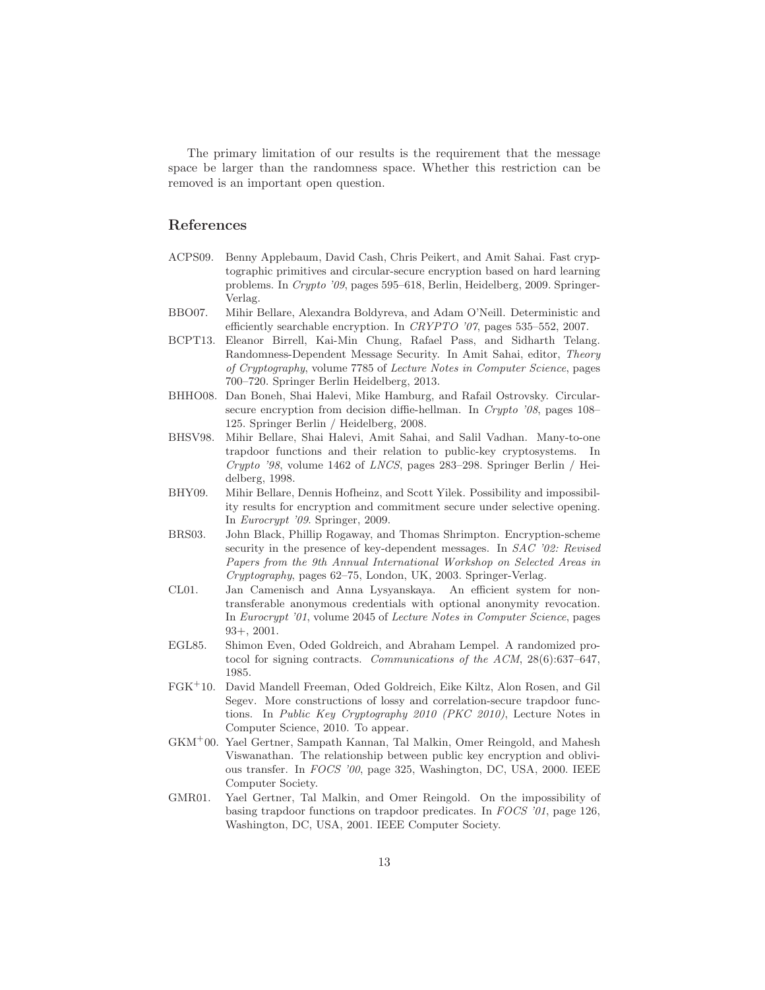The primary limitation of our results is the requirement that the message space be larger than the randomness space. Whether this restriction can be removed is an important open question.

# References

- <span id="page-13-11"></span>ACPS09. Benny Applebaum, David Cash, Chris Peikert, and Amit Sahai. Fast cryptographic primitives and circular-secure encryption based on hard learning problems. In Crypto '09, pages 595–618, Berlin, Heidelberg, 2009. Springer-Verlag.
- <span id="page-13-4"></span>BBO07. Mihir Bellare, Alexandra Boldyreva, and Adam O'Neill. Deterministic and efficiently searchable encryption. In CRYPTO '07, pages 535–552, 2007.
- <span id="page-13-9"></span>BCPT13. Eleanor Birrell, Kai-Min Chung, Rafael Pass, and Sidharth Telang. Randomness-Dependent Message Security. In Amit Sahai, editor, Theory of Cryptography, volume 7785 of Lecture Notes in Computer Science, pages 700–720. Springer Berlin Heidelberg, 2013.
- <span id="page-13-7"></span>BHHO08. Dan Boneh, Shai Halevi, Mike Hamburg, and Rafail Ostrovsky. Circularsecure encryption from decision diffie-hellman. In Crypto '08, pages 108– 125. Springer Berlin / Heidelberg, 2008.
- <span id="page-13-0"></span>BHSV98. Mihir Bellare, Shai Halevi, Amit Sahai, and Salil Vadhan. Many-to-one trapdoor functions and their relation to public-key cryptosystems. In Crypto '98, volume 1462 of LNCS, pages 283–298. Springer Berlin / Heidelberg, 1998.
- <span id="page-13-3"></span>BHY09. Mihir Bellare, Dennis Hofheinz, and Scott Yilek. Possibility and impossibility results for encryption and commitment secure under selective opening. In Eurocrypt '09. Springer, 2009.
- <span id="page-13-6"></span>BRS03. John Black, Phillip Rogaway, and Thomas Shrimpton. Encryption-scheme security in the presence of key-dependent messages. In SAC '02: Revised Papers from the 9th Annual International Workshop on Selected Areas in Cryptography, pages 62–75, London, UK, 2003. Springer-Verlag.
- <span id="page-13-5"></span>CL01. Jan Camenisch and Anna Lysyanskaya. An efficient system for nontransferable anonymous credentials with optional anonymity revocation. In Eurocrypt '01, volume 2045 of Lecture Notes in Computer Science, pages 93+, 2001.
- <span id="page-13-2"></span>EGL85. Shimon Even, Oded Goldreich, and Abraham Lempel. A randomized protocol for signing contracts. Communications of the ACM, 28(6):637–647, 1985.
- <span id="page-13-8"></span>FGK<sup>+</sup>10. David Mandell Freeman, Oded Goldreich, Eike Kiltz, Alon Rosen, and Gil Segev. More constructions of lossy and correlation-secure trapdoor functions. In Public Key Cryptography 2010 (PKC 2010), Lecture Notes in Computer Science, 2010. To appear.
- <span id="page-13-1"></span>GKM<sup>+</sup>00. Yael Gertner, Sampath Kannan, Tal Malkin, Omer Reingold, and Mahesh Viswanathan. The relationship between public key encryption and oblivious transfer. In FOCS '00, page 325, Washington, DC, USA, 2000. IEEE Computer Society.
- <span id="page-13-10"></span>GMR01. Yael Gertner, Tal Malkin, and Omer Reingold. On the impossibility of basing trapdoor functions on trapdoor predicates. In FOCS '01, page 126, Washington, DC, USA, 2001. IEEE Computer Society.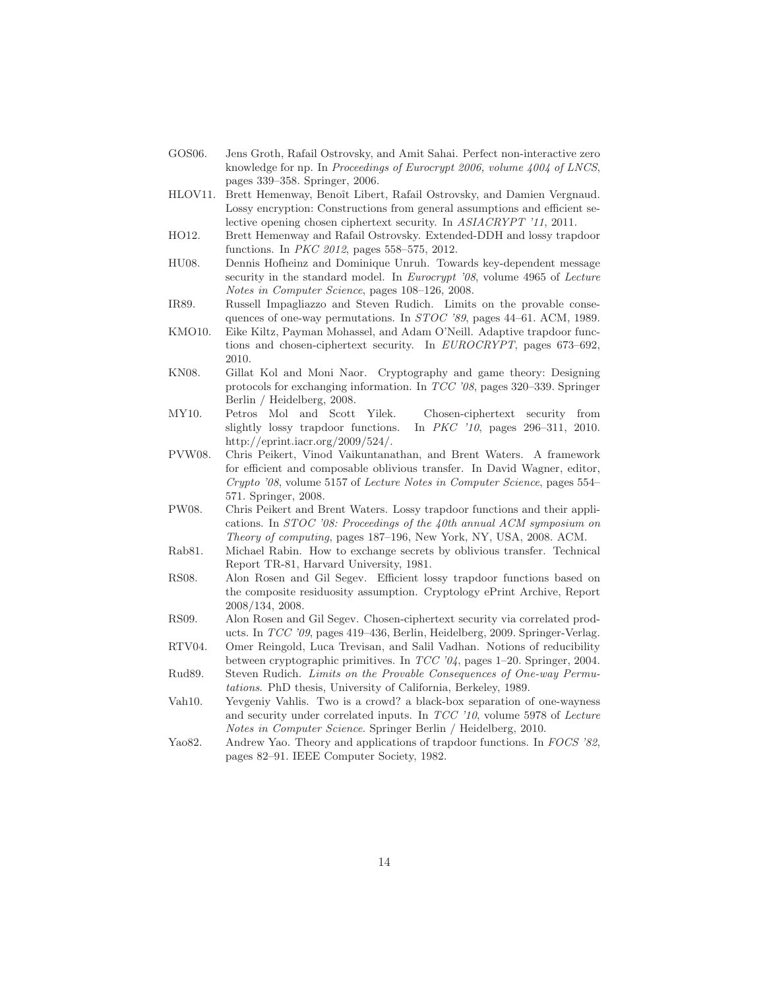- <span id="page-14-12"></span>GOS06. Jens Groth, Rafail Ostrovsky, and Amit Sahai. Perfect non-interactive zero knowledge for np. In Proceedings of Eurocrypt 2006, volume 4004 of LNCS, pages 339–358. Springer, 2006.
- <span id="page-14-6"></span>HLOV11. Brett Hemenway, Benoît Libert, Rafail Ostrovsky, and Damien Vergnaud. Lossy encryption: Constructions from general assumptions and efficient selective opening chosen ciphertext security. In ASIACRYPT '11, 2011.
- <span id="page-14-13"></span>HO12. Brett Hemenway and Rafail Ostrovsky. Extended-DDH and lossy trapdoor functions. In PKC 2012, pages 558–575, 2012.
- <span id="page-14-16"></span>HU08. Dennis Hofheinz and Dominique Unruh. Towards key-dependent message security in the standard model. In *Eurocrypt '08*, volume 4965 of *Lecture* Notes in Computer Science, pages 108–126, 2008.
- <span id="page-14-0"></span>IR89. Russell Impagliazzo and Steven Rudich. Limits on the provable consequences of one-way permutations. In STOC '89, pages 44–61. ACM, 1989.
- <span id="page-14-15"></span>KMO10. Eike Kiltz, Payman Mohassel, and Adam O'Neill. Adaptive trapdoor functions and chosen-ciphertext security. In EUROCRYPT, pages 673–692, 2010.
- <span id="page-14-3"></span>KN08. Gillat Kol and Moni Naor. Cryptography and game theory: Designing protocols for exchanging information. In TCC '08, pages 320–339. Springer Berlin / Heidelberg, 2008.
- <span id="page-14-9"></span>MY10. Petros Mol and Scott Yilek. Chosen-ciphertext security from slightly lossy trapdoor functions. In PKC '10, pages 296–311, 2010. http://eprint.iacr.org/2009/524/.
- <span id="page-14-4"></span>PVW08. Chris Peikert, Vinod Vaikuntanathan, and Brent Waters. A framework for efficient and composable oblivious transfer. In David Wagner, editor, Crypto '08, volume 5157 of Lecture Notes in Computer Science, pages 554– 571. Springer, 2008.
- <span id="page-14-5"></span>PW08. Chris Peikert and Brent Waters. Lossy trapdoor functions and their applications. In STOC '08: Proceedings of the 40th annual ACM symposium on Theory of computing, pages 187–196, New York, NY, USA, 2008. ACM.
- <span id="page-14-2"></span>Rab81. Michael Rabin. How to exchange secrets by oblivious transfer. Technical Report TR-81, Harvard University, 1981.
- <span id="page-14-7"></span>RS08. Alon Rosen and Gil Segev. Efficient lossy trapdoor functions based on the composite residuosity assumption. Cryptology ePrint Archive, Report 2008/134, 2008.
- <span id="page-14-10"></span>RS09. Alon Rosen and Gil Segev. Chosen-ciphertext security via correlated products. In TCC '09, pages 419–436, Berlin, Heidelberg, 2009. Springer-Verlag.
- <span id="page-14-1"></span>RTV04. Omer Reingold, Luca Trevisan, and Salil Vadhan. Notions of reducibility between cryptographic primitives. In TCC '04, pages 1–20. Springer, 2004.
- <span id="page-14-14"></span>Rud89. Steven Rudich. Limits on the Provable Consequences of One-way Permutations. PhD thesis, University of California, Berkeley, 1989.
- <span id="page-14-11"></span>Vah10. Yevgeniy Vahlis. Two is a crowd? a black-box separation of one-wayness and security under correlated inputs. In TCC '10, volume 5978 of Lecture Notes in Computer Science. Springer Berlin / Heidelberg, 2010.
- <span id="page-14-8"></span>Yao82. Andrew Yao. Theory and applications of trapdoor functions. In FOCS '82, pages 82–91. IEEE Computer Society, 1982.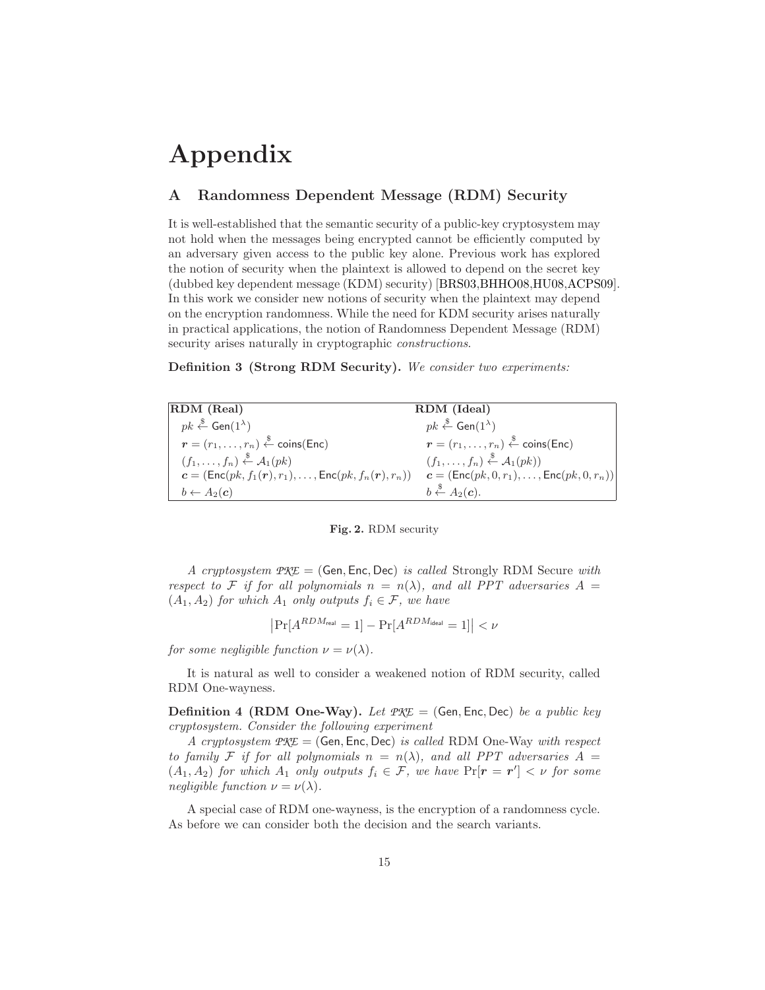# Appendix

# A Randomness Dependent Message (RDM) Security

It is well-established that the semantic security of a public-key cryptosystem may not hold when the messages being encrypted cannot be efficiently computed by an adversary given access to the public key alone. Previous work has explored the notion of security when the plaintext is allowed to depend on the secret key (dubbed key dependent message (KDM) security) [\[BRS03](#page-13-6)[,BHHO08,](#page-13-7)[HU08,](#page-14-16)[ACPS09\]](#page-13-11). In this work we consider new notions of security when the plaintext may depend on the encryption randomness. While the need for KDM security arises naturally in practical applications, the notion of Randomness Dependent Message (RDM) security arises naturally in cryptographic *constructions*.

Definition 3 (Strong RDM Security). We consider two experiments:

| RDM (Real)                                                                                             | RDM (Ideal)                                                                          |
|--------------------------------------------------------------------------------------------------------|--------------------------------------------------------------------------------------|
| $pk \stackrel{\$}{\leftarrow} Gen(1^{\lambda})$                                                        | $pk \stackrel{\$}{\leftarrow} Gen(1^{\lambda})$                                      |
| $\mathbf{r} = (r_1, \ldots, r_n) \stackrel{\$}{\leftarrow} \text{coins}(\text{Enc})$                   | $\mathbf{r} = (r_1, \ldots, r_n) \stackrel{\$}{\leftarrow} \text{coins}(\text{Enc})$ |
| $(f_1,\ldots,f_n)\overset{\$}{\leftarrow} \mathcal{A}_1(pk)$                                           | $(f_1,\ldots,f_n)\overset{\$}{\leftarrow} \mathcal{A}_1(pk))$                        |
| $\mathbf{c} = (\mathsf{Enc}(pk, f_1(\mathbf{r}), r_1), \dots, \mathsf{Enc}(pk, f_n(\mathbf{r}), r_n))$ | $c = (Enc(pk, 0, r_1), \ldots, Enc(pk, 0, r_n))$                                     |
| $b \leftarrow A_2(c)$                                                                                  | $b \stackrel{\$}{\leftarrow} A_2(c)$ .                                               |



A cryptosystem *PKE* = (Gen, Enc, Dec) is called Strongly RDM Secure with respect to F if for all polynomials  $n = n(\lambda)$ , and all PPT adversaries  $A =$  $(A_1, A_2)$  for which  $A_1$  only outputs  $f_i \in \mathcal{F}$ , we have

$$
\left|\Pr[A^{RDM_{\text{real}}}=1]-\Pr[A^{RDM_{\text{ideal}}}=1]\right|<\nu
$$

for some negligible function  $\nu = \nu(\lambda)$ .

It is natural as well to consider a weakened notion of RDM security, called RDM One-wayness.

**Definition 4 (RDM One-Way).** Let  $P \mathcal{K}E =$  (Gen, Enc. Dec) be a public key cryptosystem. Consider the following experiment

A cryptosystem *PKE* = (Gen, Enc, Dec) is called RDM One-Way with respect to family F if for all polynomials  $n = n(\lambda)$ , and all PPT adversaries  $A =$  $(A_1, A_2)$  for which  $A_1$  only outputs  $f_i \in \mathcal{F}$ , we have  $\Pr[r = r'] < \nu$  for some negligible function  $\nu = \nu(\lambda)$ .

A special case of RDM one-wayness, is the encryption of a randomness cycle. As before we can consider both the decision and the search variants.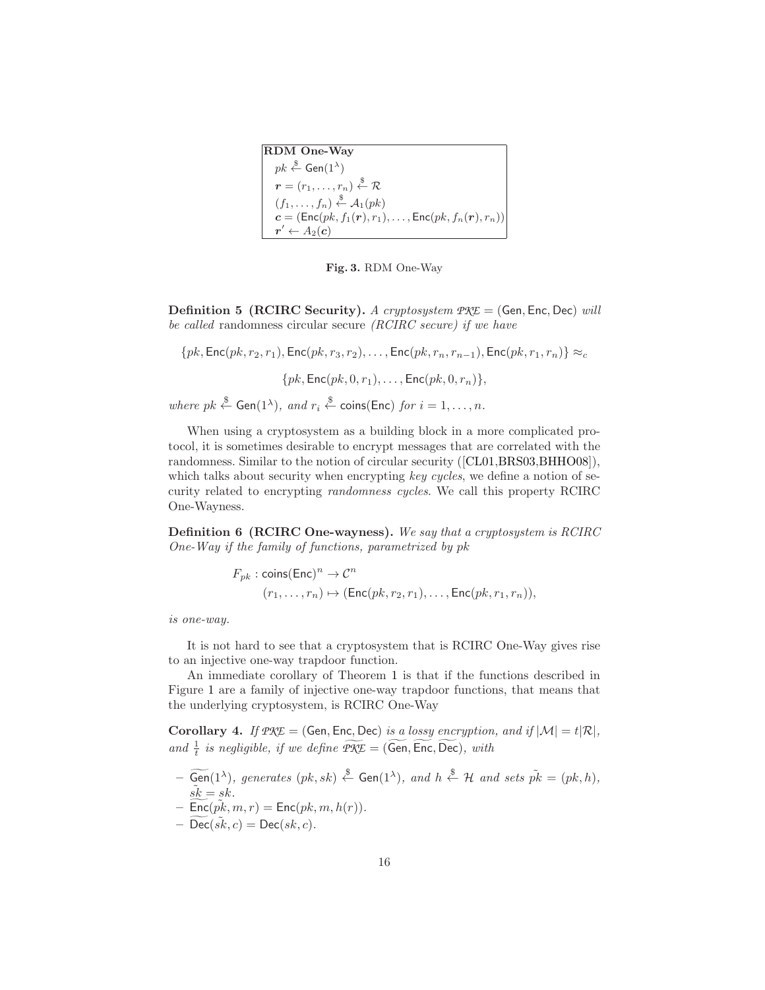```
RDM One-Way
pk \stackrel{\$}{\leftarrow} \mathsf{Gen}(1^{\lambda})\bm{r}=(r_1,\ldots,r_n)\stackrel{\$}{\leftarrow}\mathcal{R}(f_1,\ldots,f_n)\overset{\$}{\leftarrow} \mathcal{A}_1(pk)c = (Enc(pk, f_1(r), r_1), \ldots, Enc(pk, f_n(r), r_n))\boldsymbol{r}' \leftarrow A_2(\overset{\circ}{\boldsymbol{c}})
```


Definition 5 (RCIRC Security). A cryptosystem  $PKE = (Gen, Enc, Dec)$  will be called randomness circular secure (RCIRC secure) if we have

 ${pk, Enc}(pk, r_2, r_1), Enc(pk, r_3, r_2), \ldots, Enc(pk, r_n, r_{n-1}), Enc(pk, r_1, r_n)} \approx_c$  $\{pk, \text{Enc}(pk, 0, r_1), \dots, \text{Enc}(pk, 0, r_n)\},\$ 

where  $pk \stackrel{\$}{\leftarrow} \textsf{Gen}(1^{\lambda}), \text{ and } r_i \stackrel{\$}{\leftarrow} \textsf{coins}(\textsf{Enc}) \text{ for } i = 1, \ldots, n.$ 

When using a cryptosystem as a building block in a more complicated protocol, it is sometimes desirable to encrypt messages that are correlated with the randomness. Similar to the notion of circular security ([\[CL01,](#page-13-5)[BRS03](#page-13-6)[,BHHO08\]](#page-13-7)), which talks about security when encrypting key cycles, we define a notion of security related to encrypting randomness cycles. We call this property RCIRC One-Wayness.

Definition 6 (RCIRC One-wayness). We say that a cryptosystem is RCIRC One-Way if the family of functions, parametrized by pk

> $F_{pk}$ : coins $(\textsf{Enc})^n \to \mathcal{C}^n$  $(r_1, \ldots, r_n) \mapsto (\text{Enc}(pk, r_2, r_1), \ldots, \text{Enc}(pk, r_1, r_n)),$

is one-way.

It is not hard to see that a cryptosystem that is RCIRC One-Way gives rise to an injective one-way trapdoor function.

An immediate corollary of Theorem [1](#page-11-0) is that if the functions described in Figure [1](#page-8-0) are a family of injective one-way trapdoor functions, that means that the underlying cryptosystem, is RCIRC One-Way

Corollary 4. If  $PKE = (Gen, Enc, Dec)$  is a lossy encryption, and if  $|M| = t |R|$ , and  $\frac{1}{t}$  is negligible, if we define  $\widetilde{PKE} = (\widetilde{\mathsf{Gen}}, \widetilde{\mathsf{Enc}}, \widetilde{\mathsf{Dec}})$ , with

- $-\widetilde{\mathsf{Gen}}(1^{\lambda}),$  generates  $(pk, sk) \overset{\$}{\leftarrow} \mathsf{Gen}(1^{\lambda}),$  and  $h \overset{\$}{\leftarrow} \mathcal{H}$  and sets  $\widetilde{pk} = (pk, h),$  $s\tilde{k} = sk.$
- $\widetilde{\mathsf{Enc}}(\tilde{pk}, m, r) = \mathsf{Enc}(pk, m, h(r)).$
- $\widetilde{\mathsf{Dec}}(\tilde{sk}, c) = \mathsf{Dec}(sk, c).$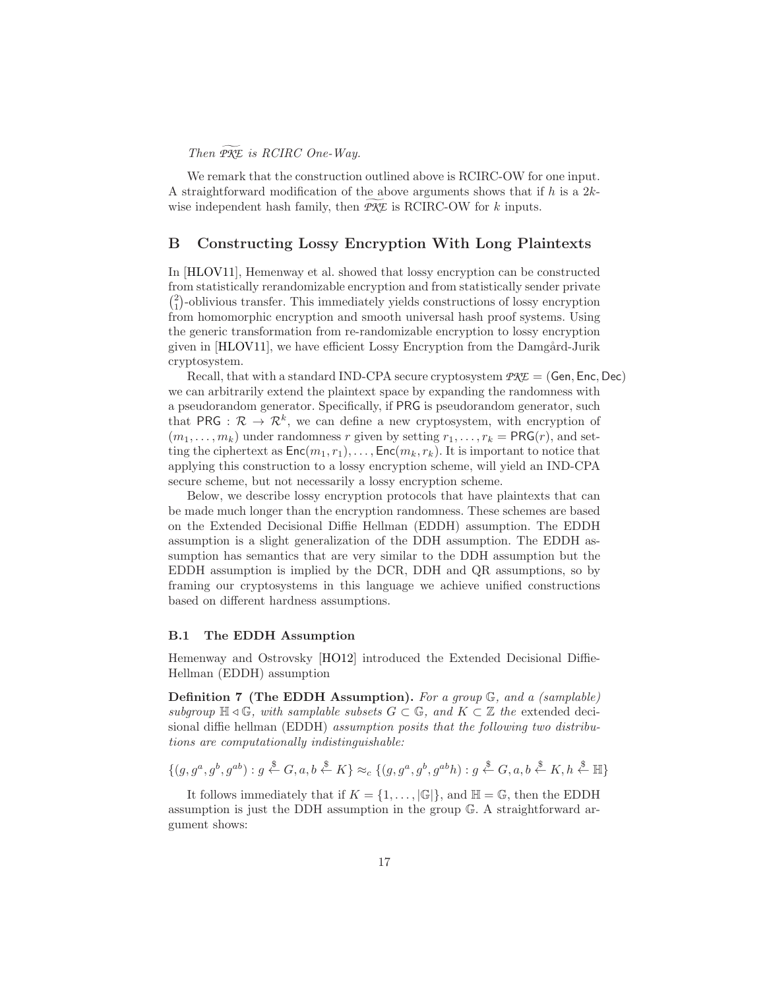#### Then PKE is RCIRC One-Way.

We remark that the construction outlined above is RCIRC-OW for one input. A straightforward modification of the above arguments shows that if  $h$  is a  $2k$ wise independent hash family, then  $P \mathcal{K} E$  is RCIRC-OW for  $k$  inputs.

# <span id="page-17-0"></span>B Constructing Lossy Encryption With Long Plaintexts

In [\[HLOV11\]](#page-14-6), Hemenway et al. showed that lossy encryption can be constructed from statistically rerandomizable encryption and from statistically sender private  $\binom{2}{1}$ -oblivious transfer. This immediately yields constructions of lossy encryption from homomorphic encryption and smooth universal hash proof systems. Using the generic transformation from re-randomizable encryption to lossy encryption given in  $[HLOVI]$ , we have efficient Lossy Encryption from the Damgård-Jurik cryptosystem.

Recall, that with a standard IND-CPA secure cryptosystem *PKE* = (Gen, Enc, Dec) we can arbitrarily extend the plaintext space by expanding the randomness with a pseudorandom generator. Specifically, if PRG is pseudorandom generator, such that PRG :  $\mathcal{R} \to \mathcal{R}^k$ , we can define a new cryptosystem, with encryption of  $(m_1, \ldots, m_k)$  under randomness r given by setting  $r_1, \ldots, r_k = \text{PRG}(r)$ , and setting the ciphertext as  $Enc(m_1, r_1), \ldots, Enc(m_k, r_k)$ . It is important to notice that applying this construction to a lossy encryption scheme, will yield an IND-CPA secure scheme, but not necessarily a lossy encryption scheme.

Below, we describe lossy encryption protocols that have plaintexts that can be made much longer than the encryption randomness. These schemes are based on the Extended Decisional Diffie Hellman (EDDH) assumption. The EDDH assumption is a slight generalization of the DDH assumption. The EDDH assumption has semantics that are very similar to the DDH assumption but the EDDH assumption is implied by the DCR, DDH and QR assumptions, so by framing our cryptosystems in this language we achieve unified constructions based on different hardness assumptions.

#### B.1 The EDDH Assumption

Hemenway and Ostrovsky [\[HO12\]](#page-14-13) introduced the Extended Decisional Diffie-Hellman (EDDH) assumption

Definition 7 (The EDDH Assumption). For a group  $\mathbb{G}$ , and a (samplable) subgroup  $\mathbb{H} \triangleleft \mathbb{G}$ , with samplable subsets  $G \subset \mathbb{G}$ , and  $K \subset \mathbb{Z}$  the extended decisional diffie hellman (EDDH) assumption posits that the following two distributions are computationally indistinguishable:

$$
\{(g, g^a, g^b, g^{ab}): g \stackrel{\$}{\leftarrow} G, a, b \stackrel{\$}{\leftarrow} K\} \approx_c \{(g, g^a, g^b, g^{ab}h): g \stackrel{\$}{\leftarrow} G, a, b \stackrel{\$}{\leftarrow} K, h \stackrel{\$}{\leftarrow} \mathbb{H}\}
$$

It follows immediately that if  $K = \{1, \ldots, |\mathbb{G}|\}$ , and  $\mathbb{H} = \mathbb{G}$ , then the EDDH assumption is just the DDH assumption in the group G. A straightforward argument shows: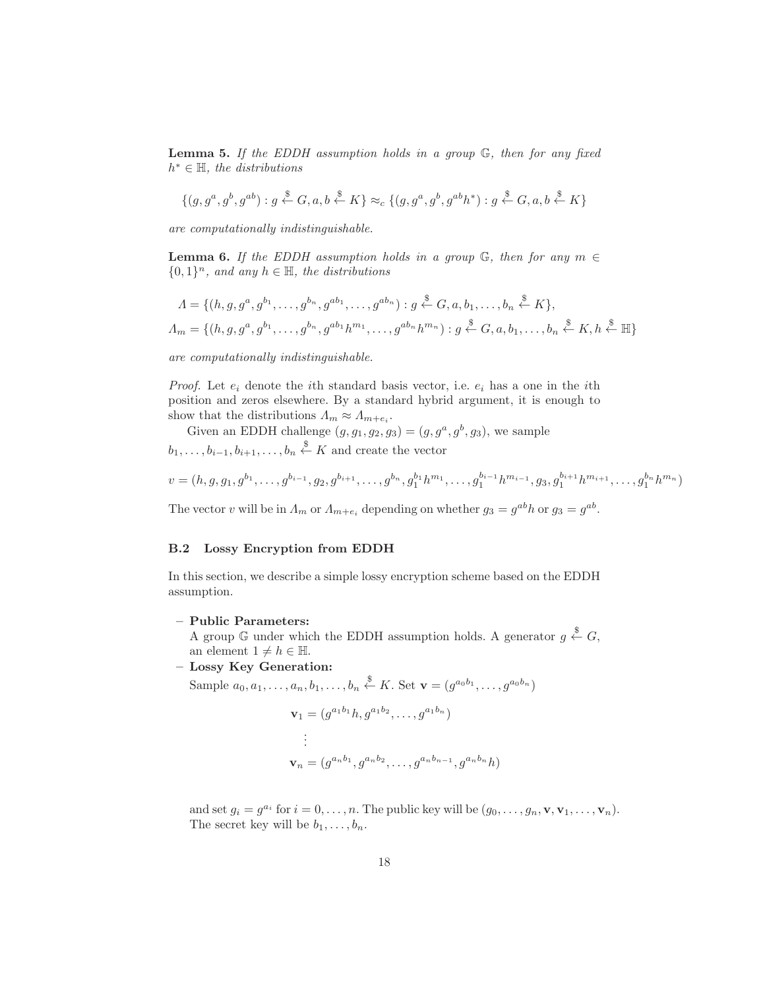**Lemma 5.** If the EDDH assumption holds in a group  $\mathbb{G}$ , then for any fixed  $h^* \in \mathbb{H}$ , the distributions

$$
\{(g, g^a, g^b, g^{ab}): g \stackrel{\$}{\leftarrow} G, a, b \stackrel{\$}{\leftarrow} K\} \approx_c \{(g, g^a, g^b, g^{ab}h^*): g \stackrel{\$}{\leftarrow} G, a, b \stackrel{\$}{\leftarrow} K\}
$$

<span id="page-18-0"></span>are computationally indistinguishable.

**Lemma 6.** If the EDDH assumption holds in a group  $\mathbb{G}$ , then for any  $m \in$  ${0,1}<sup>n</sup>$ , and any  $h \in \mathbb{H}$ , the distributions

$$
A = \{(h, g, g^a, g^{b_1}, \dots, g^{b_n}, g^{ab_1}, \dots, g^{ab_n}) : g \stackrel{\$}{\leftarrow} G, a, b_1, \dots, b_n \stackrel{\$}{\leftarrow} K\},
$$
  

$$
A_m = \{(h, g, g^a, g^{b_1}, \dots, g^{b_n}, g^{ab_1}h^{m_1}, \dots, g^{ab_n}h^{m_n}) : g \stackrel{\$}{\leftarrow} G, a, b_1, \dots, b_n \stackrel{\$}{\leftarrow} K, h \stackrel{\$}{\leftarrow} \mathbb{H}\}
$$

are computationally indistinguishable.

*Proof.* Let  $e_i$  denote the *i*th standard basis vector, i.e.  $e_i$  has a one in the *i*th position and zeros elsewhere. By a standard hybrid argument, it is enough to show that the distributions  $\Lambda_m \approx \Lambda_{m+e_i}$ .

Given an EDDH challenge  $(g, g_1, g_2, g_3) = (g, g^a, g^b, g_3)$ , we sample  $b_1, \ldots, b_{i-1}, b_{i+1}, \ldots, b_n \stackrel{\$}{\leftarrow} K$  and create the vector

$$
v = (h, g, g_1, g^{b_1}, \dots, g^{b_{i-1}}, g_2, g^{b_{i+1}}, \dots, g^{b_n}, g_1^{b_1} h^{m_1}, \dots, g_1^{b_{i-1}} h^{m_{i-1}}, g_3, g_1^{b_{i+1}} h^{m_{i+1}}, \dots, g_1^{b_n} h^{m_n})
$$

The vector v will be in  $\Lambda_m$  or  $\Lambda_{m+e_i}$  depending on whether  $g_3 = g^{ab}h$  or  $g_3 = g^{ab}$ .

### B.2 Lossy Encryption from EDDH

In this section, we describe a simple lossy encryption scheme based on the EDDH assumption.

– Public Parameters:

A group G under which the EDDH assumption holds. A generator  $g \stackrel{\$}{\leftarrow} G$ , an element  $1 \neq h \in \mathbb{H}$ .

– Lossy Key Generation:

Sample  $a_0, a_1, \ldots, a_n, b_1, \ldots, b_n \stackrel{\$}{\leftarrow} K$ . Set  $\mathbf{v} = (g^{a_0 b_1}, \ldots, g^{a_0 b_n})$ 

$$
\mathbf{v}_1 = (g^{a_1b_1}h, g^{a_1b_2}, \dots, g^{a_1b_n})
$$
  
\n:  
\n
$$
\mathbf{v}_n = (g^{a_n b_1}, g^{a_n b_2}, \dots, g^{a_n b_{n-1}}, g^{a_n b_n}h)
$$

and set  $g_i = g^{a_i}$  for  $i = 0, \ldots, n$ . The public key will be  $(g_0, \ldots, g_n, \mathbf{v}, \mathbf{v}_1, \ldots, \mathbf{v}_n)$ . The secret key will be  $b_1, \ldots, b_n$ .